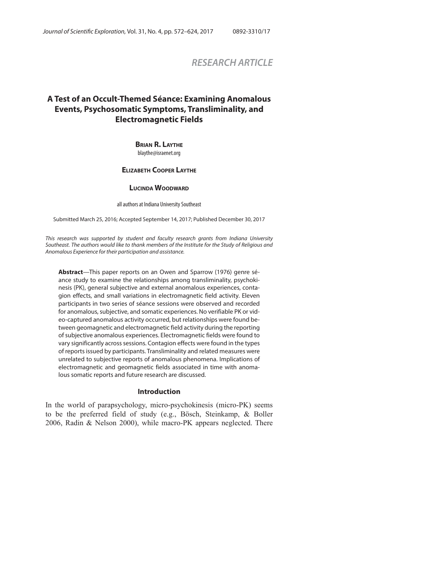# *RESEARCH ARTICLE*

# **A Test of an Occult-Themed Séance: Examining Anomalous Events, Psychosomatic Symptoms, Transliminality, and Electromagnetic Fields**

#### **BRIAN R. LAYTHE** blaythe@israenet.org

## **ELIZABETH COOPER LAYTHE**

#### **LUCINDA WOODWARD**

all authors at Indiana University Southeast

Submitted March 25, 2016; Accepted September 14, 2017; Published December 30, 2017

This research was supported by student and faculty research grants from Indiana University Southeast. The authors would like to thank members of the Institute for the Study of Religious and Anomalous Experience for their participation and assistance.

**Abstract**—This paper reports on an Owen and Sparrow (1976) genre séance study to examine the relationships among transliminality, psychokinesis (PK), general subjective and external anomalous experiences, contagion effects, and small variations in electromagnetic field activity. Eleven participants in two series of séance sessions were observed and recorded for anomalous, subjective, and somatic experiences. No verifiable PK or video-captured anomalous activity occurred, but relationships were found between geomagnetic and electromagnetic field activity during the reporting of subjective anomalous experiences. Electromagnetic fields were found to vary significantly across sessions. Contagion effects were found in the types of reports issued by participants. Transliminality and related measures were unrelated to subjective reports of anomalous phenomena. Implications of electromagnetic and geomagnetic fields associated in time with anomalous somatic reports and future research are discussed.

#### **Introduction**

In the world of parapsychology, micro-psychokinesis (micro-PK) seems to be the preferred field of study (e.g., Bösch, Steinkamp, & Boller 2006, Radin & Nelson 2000), while macro-PK appears neglected. There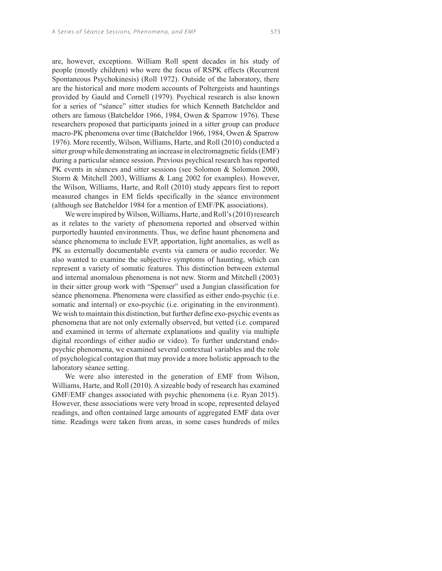are, however, exceptions. William Roll spent decades in his study of people (mostly children) who were the focus of RSPK effects (Recurrent Spontaneous Psychokinesis) (Roll 1972). Outside of the laboratory, there are the historical and more modern accounts of Poltergeists and hauntings provided by Gauld and Cornell (1979). Psychical research is also known for a series of "séance" sitter studies for which Kenneth Batcheldor and others are famous (Batcheldor 1966, 1984, Owen & Sparrow 1976). These researchers proposed that participants joined in a sitter group can produce macro-PK phenomena over time (Batcheldor 1966, 1984, Owen & Sparrow 1976). More recently, Wilson, Williams, Harte, and Roll (2010) conducted a sitter group while demonstrating an increase in electromagnetic fields (EMF) during a particular séance session. Previous psychical research has reported PK events in séances and sitter sessions (see Solomon & Solomon 2000, Storm & Mitchell 2003, Williams & Lang 2002 for examples). However, the Wilson, Williams, Harte, and Roll (2010) study appears first to report measured changes in EM fields specifically in the séance environment (although see Batcheldor 1984 for a mention of EMF/PK associations).

We were inspired by Wilson, Williams, Harte, and Roll's (2010) research as it relates to the variety of phenomena reported and observed within purportedly haunted environments. Thus, we define haunt phenomena and séance phenomena to include EVP, apportation, light anomalies, as well as PK as externally documentable events via camera or audio recorder. We also wanted to examine the subjective symptoms of haunting, which can represent a variety of somatic features. This distinction between external and internal anomalous phenomena is not new. Storm and Mitchell (2003) in their sitter group work with "Spenser" used a Jungian classification for séance phenomena. Phenomena were classified as either endo-psychic (i.e. somatic and internal) or exo-psychic (i.e. originating in the environment). We wish to maintain this distinction, but further define exo-psychic events as phenomena that are not only externally observed, but vetted (i.e. compared and examined in terms of alternate explanations and quality via multiple digital recordings of either audio or video). To further understand endopsychic phenomena, we examined several contextual variables and the role of psychological contagion that may provide a more holistic approach to the laboratory séance setting.

We were also interested in the generation of EMF from Wilson, Williams, Harte, and Roll (2010). A sizeable body of research has examined GMF/EMF changes associated with psychic phenomena (i.e. Ryan 2015). However, these associations were very broad in scope, represented delayed readings, and often contained large amounts of aggregated EMF data over time. Readings were taken from areas, in some cases hundreds of miles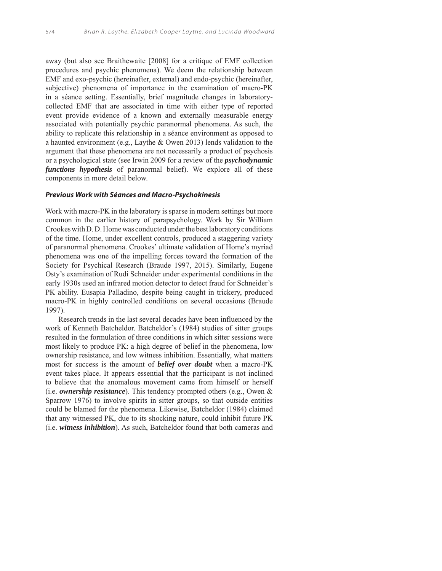away (but also see Braithewaite [2008] for a critique of EMF collection procedures and psychic phenomena). We deem the relationship between EMF and exo-psychic (hereinafter, external) and endo-psychic (hereinafter, subjective) phenomena of importance in the examination of macro-PK in a séance setting. Essentially, brief magnitude changes in laboratorycollected EMF that are associated in time with either type of reported event provide evidence of a known and externally measurable energy associated with potentially psychic paranormal phenomena. As such, the ability to replicate this relationship in a séance environment as opposed to a haunted environment (e.g., Laythe & Owen 2013) lends validation to the argument that these phenomena are not necessarily a product of psychosis or a psychological state (see Irwin 2009 for a review of the *psychodynamic functions hypothesis* of paranormal belief). We explore all of these components in more detail below.

## **Previous Work with Séances and Macro-Psychokinesis**

Work with macro-PK in the laboratory is sparse in modern settings but more common in the earlier history of parapsychology. Work by Sir William Crookes with D. D. Home was conducted under the best laboratory conditions of the time. Home, under excellent controls, produced a staggering variety of paranormal phenomena. Crookes' ultimate validation of Home's myriad phenomena was one of the impelling forces toward the formation of the Society for Psychical Research (Braude 1997, 2015). Similarly, Eugene Osty's examination of Rudi Schneider under experimental conditions in the early 1930s used an infrared motion detector to detect fraud for Schneider's PK ability. Eusapia Palladino, despite being caught in trickery, produced macro-PK in highly controlled conditions on several occasions (Braude 1997).

Research trends in the last several decades have been influenced by the work of Kenneth Batcheldor. Batcheldor's (1984) studies of sitter groups resulted in the formulation of three conditions in which sitter sessions were most likely to produce PK: a high degree of belief in the phenomena, low ownership resistance, and low witness inhibition. Essentially, what matters most for success is the amount of *belief over doubt* when a macro-PK event takes place. It appears essential that the participant is not inclined to believe that the anomalous movement came from himself or herself (i.e. *ownership resistance*). This tendency prompted others (e.g., Owen & Sparrow 1976) to involve spirits in sitter groups, so that outside entities could be blamed for the phenomena. Likewise, Batcheldor (1984) claimed that any witnessed PK, due to its shocking nature, could inhibit future PK (i.e. *witness inhibition*). As such, Batcheldor found that both cameras and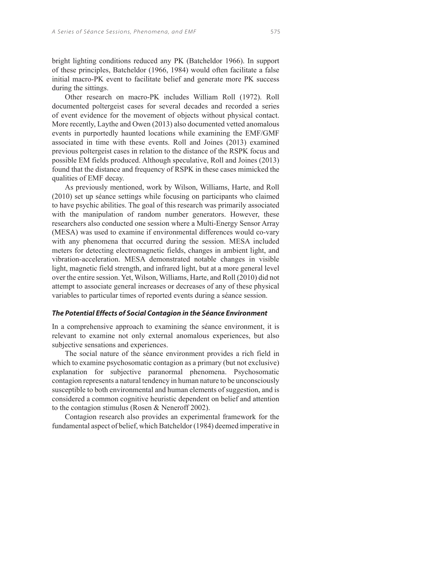bright lighting conditions reduced any PK (Batcheldor 1966). In support of these principles, Batcheldor (1966, 1984) would often facilitate a false initial macro-PK event to facilitate belief and generate more PK success during the sittings.

Other research on macro-PK includes William Roll (1972). Roll documented poltergeist cases for several decades and recorded a series of event evidence for the movement of objects without physical contact. More recently, Laythe and Owen (2013) also documented vetted anomalous events in purportedly haunted locations while examining the EMF/GMF associated in time with these events. Roll and Joines (2013) examined previous poltergeist cases in relation to the distance of the RSPK focus and possible EM fields produced. Although speculative, Roll and Joines (2013) found that the distance and frequency of RSPK in these cases mimicked the qualities of EMF decay.

As previously mentioned, work by Wilson, Williams, Harte, and Roll (2010) set up séance settings while focusing on participants who claimed to have psychic abilities. The goal of this research was primarily associated with the manipulation of random number generators. However, these researchers also conducted one session where a Multi-Energy Sensor Array (MESA) was used to examine if environmental differences would co-vary with any phenomena that occurred during the session. MESA included meters for detecting electromagnetic fields, changes in ambient light, and vibration-acceleration. MESA demonstrated notable changes in visible light, magnetic field strength, and infrared light, but at a more general level over the entire session. Yet, Wilson, Williams, Harte, and Roll (2010) did not attempt to associate general increases or decreases of any of these physical variables to particular times of reported events during a séance session.

#### **The Potential Effects of Social Contagion in the Séance Environment**

In a comprehensive approach to examining the séance environment, it is relevant to examine not only external anomalous experiences, but also subjective sensations and experiences.

The social nature of the séance environment provides a rich field in which to examine psychosomatic contagion as a primary (but not exclusive) explanation for subjective paranormal phenomena. Psychosomatic contagion represents a natural tendency in human nature to be unconsciously susceptible to both environmental and human elements of suggestion, and is considered a common cognitive heuristic dependent on belief and attention to the contagion stimulus (Rosen & Neneroff 2002).

Contagion research also provides an experimental framework for the fundamental aspect of belief, which Batcheldor (1984) deemed imperative in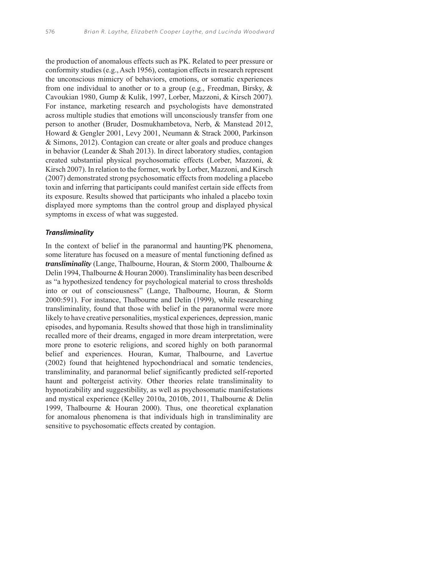the production of anomalous effects such as PK. Related to peer pressure or conformity studies (e.g., Asch 1956), contagion effects in research represent the unconscious mimicry of behaviors, emotions, or somatic experiences from one individual to another or to a group (e.g., Freedman, Birsky, & Cavoukian 1980, Gump & Kulik, 1997, Lorber, Mazzoni, & Kirsch 2007). For instance, marketing research and psychologists have demonstrated across multiple studies that emotions will unconsciously transfer from one person to another (Bruder, Dosmukhambetova, Nerb, & Manstead 2012, Howard & Gengler 2001, Levy 2001, Neumann & Strack 2000, Parkinson & Simons, 2012). Contagion can create or alter goals and produce changes in behavior (Leander & Shah 2013). In direct laboratory studies, contagion created substantial physical psychosomatic effects (Lorber, Mazzoni, & Kirsch 2007). In relation to the former, work by Lorber, Mazzoni, and Kirsch (2007) demonstrated strong psychosomatic effects from modeling a placebo toxin and inferring that participants could manifest certain side effects from its exposure. Results showed that participants who inhaled a placebo toxin displayed more symptoms than the control group and displayed physical symptoms in excess of what was suggested.

#### **Transliminality**

In the context of belief in the paranormal and haunting/PK phenomena, some literature has focused on a measure of mental functioning defined as *transliminality* (Lange, Thalbourne, Houran, & Storm 2000, Thalbourne & Delin 1994, Thalbourne & Houran 2000). Transliminality has been described as "a hypothesized tendency for psychological material to cross thresholds into or out of consciousness" (Lange, Thalbourne, Houran, & Storm 2000:591). For instance, Thalbourne and Delin (1999), while researching transliminality, found that those with belief in the paranormal were more likely to have creative personalities, mystical experiences, depression, manic episodes, and hypomania. Results showed that those high in transliminality recalled more of their dreams, engaged in more dream interpretation, were more prone to esoteric religions, and scored highly on both paranormal belief and experiences. Houran, Kumar, Thalbourne, and Lavertue (2002) found that heightened hypochondriacal and somatic tendencies, transliminality, and paranormal belief significantly predicted self-reported haunt and poltergeist activity. Other theories relate transliminality to hypnotizability and suggestibility, as well as psychosomatic manifestations and mystical experience (Kelley 2010a, 2010b, 2011, Thalbourne & Delin 1999, Thalbourne & Houran 2000). Thus, one theoretical explanation for anomalous phenomena is that individuals high in transliminality are sensitive to psychosomatic effects created by contagion.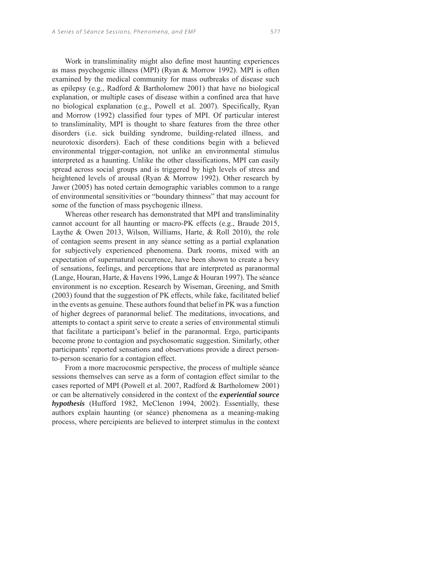Work in transliminality might also define most haunting experiences as mass psychogenic illness (MPI) (Ryan & Morrow 1992). MPI is often examined by the medical community for mass outbreaks of disease such as epilepsy (e.g., Radford & Bartholomew 2001) that have no biological explanation, or multiple cases of disease within a confined area that have no biological explanation (e.g., Powell et al. 2007). Specifically, Ryan and Morrow (1992) classified four types of MPI. Of particular interest to transliminality, MPI is thought to share features from the three other disorders (i.e. sick building syndrome, building-related illness, and neurotoxic disorders). Each of these conditions begin with a believed environmental trigger-contagion, not unlike an environmental stimulus interpreted as a haunting. Unlike the other classifications, MPI can easily spread across social groups and is triggered by high levels of stress and heightened levels of arousal (Ryan & Morrow 1992). Other research by Jawer (2005) has noted certain demographic variables common to a range of environmental sensitivities or "boundary thinness" that may account for some of the function of mass psychogenic illness.

Whereas other research has demonstrated that MPI and transliminality cannot account for all haunting or macro-PK effects (e.g., Braude 2015, Laythe & Owen 2013, Wilson, Williams, Harte, & Roll 2010), the role of contagion seems present in any séance setting as a partial explanation for subjectively experienced phenomena. Dark rooms, mixed with an expectation of supernatural occurrence, have been shown to create a bevy of sensations, feelings, and perceptions that are interpreted as paranormal (Lange, Houran, Harte, & Havens 1996, Lange & Houran 1997). The séance environment is no exception. Research by Wiseman, Greening, and Smith (2003) found that the suggestion of PK effects, while fake, facilitated belief in the events as genuine. These authors found that belief in PK was a function of higher degrees of paranormal belief. The meditations, invocations, and attempts to contact a spirit serve to create a series of environmental stimuli that facilitate a participant's belief in the paranormal. Ergo, participants become prone to contagion and psychosomatic suggestion. Similarly, other participants' reported sensations and observations provide a direct personto-person scenario for a contagion effect.

From a more macrocosmic perspective, the process of multiple séance sessions themselves can serve as a form of contagion effect similar to the cases reported of MPI (Powell et al. 2007, Radford & Bartholomew 2001) or can be alternatively considered in the context of the *experiential source hypothesis* (Hufford 1982, McClenon 1994, 2002). Essentially, these authors explain haunting (or séance) phenomena as a meaning-making process, where percipients are believed to interpret stimulus in the context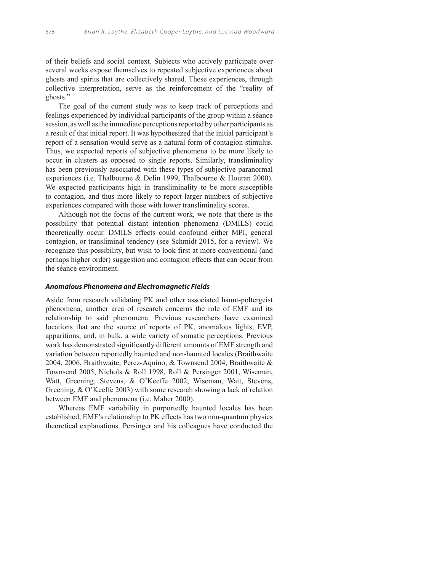of their beliefs and social context. Subjects who actively participate over several weeks expose themselves to repeated subjective experiences about ghosts and spirits that are collectively shared. These experiences, through collective interpretation, serve as the reinforcement of the "reality of ghosts."

The goal of the current study was to keep track of perceptions and feelings experienced by individual participants of the group within a séance session, as well as the immediate perceptions reported by other participants as a result of that initial report. It was hypothesized that the initial participant's report of a sensation would serve as a natural form of contagion stimulus. Thus, we expected reports of subjective phenomena to be more likely to occur in clusters as opposed to single reports. Similarly, transliminality has been previously associated with these types of subjective paranormal experiences (i.e. Thalbourne & Delin 1999, Thalbourne & Houran 2000). We expected participants high in transliminality to be more susceptible to contagion, and thus more likely to report larger numbers of subjective experiences compared with those with lower transliminality scores.

Although not the focus of the current work, we note that there is the possibility that potential distant intention phenomena (DMILS) could theoretically occur. DMILS effects could confound either MPI, general contagion, or transliminal tendency (see Schmidt 2015, for a review). We recognize this possibility, but wish to look first at more conventional (and perhaps higher order) suggestion and contagion effects that can occur from the séance environment.

#### **Anomalous Phenomena and Electromagnetic Fields**

Aside from research validating PK and other associated haunt-poltergeist phenomena, another area of research concerns the role of EMF and its relationship to said phenomena. Previous researchers have examined locations that are the source of reports of PK, anomalous lights, EVP, apparitions, and, in bulk, a wide variety of somatic perceptions. Previous work has demonstrated significantly different amounts of EMF strength and variation between reportedly haunted and non-haunted locales (Braithwaite 2004, 2006, Braithwaite, Perez-Aquino, & Townsend 2004, Braithwaite & Townsend 2005, Nichols & Roll 1998, Roll & Persinger 2001, Wiseman, Watt, Greening, Stevens, & O'Keeffe 2002, Wiseman, Watt, Stevens, Greening, & O'Keeffe 2003) with some research showing a lack of relation between EMF and phenomena (i.e. Maher 2000).

Whereas EMF variability in purportedly haunted locales has been established, EMF's relationship to PK effects has two non-quantum physics theoretical explanations. Persinger and his colleagues have conducted the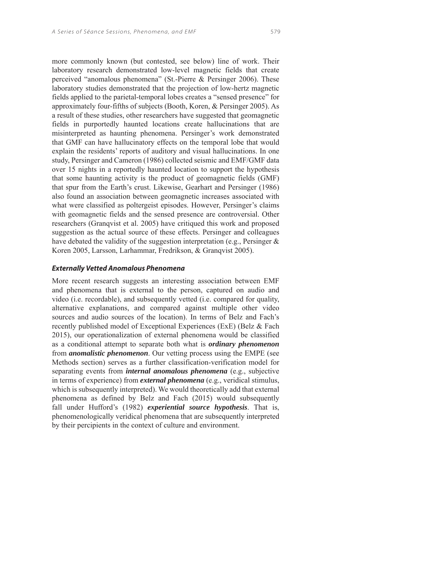more commonly known (but contested, see below) line of work. Their laboratory research demonstrated low-level magnetic fields that create perceived "anomalous phenomena" (St.-Pierre & Persinger 2006). These laboratory studies demonstrated that the projection of low-hertz magnetic fields applied to the parietal-temporal lobes creates a "sensed presence" for approximately four-fifths of subjects (Booth, Koren, & Persinger 2005). As a result of these studies, other researchers have suggested that geomagnetic fields in purportedly haunted locations create hallucinations that are misinterpreted as haunting phenomena. Persinger's work demonstrated that GMF can have hallucinatory effects on the temporal lobe that would explain the residents' reports of auditory and visual hallucinations. In one study, Persinger and Cameron (1986) collected seismic and EMF/GMF data over 15 nights in a reportedly haunted location to support the hypothesis that some haunting activity is the product of geomagnetic fields (GMF) that spur from the Earth's crust. Likewise, Gearhart and Persinger (1986) also found an association between geomagnetic increases associated with what were classified as poltergeist episodes. However, Persinger's claims with geomagnetic fields and the sensed presence are controversial. Other researchers (Granqvist et al. 2005) have critiqued this work and proposed suggestion as the actual source of these effects. Persinger and colleagues have debated the validity of the suggestion interpretation (e.g., Persinger & Koren 2005, Larsson, Larhammar, Fredrikson, & Granqvist 2005).

#### **Externally Vetted Anomalous Phenomena**

More recent research suggests an interesting association between EMF and phenomena that is external to the person, captured on audio and video (i.e. recordable), and subsequently vetted (i.e. compared for quality, alternative explanations, and compared against multiple other video sources and audio sources of the location). In terms of Belz and Fach's recently published model of Exceptional Experiences (ExE) (Belz & Fach 2015), our operationalization of external phenomena would be classified as a conditional attempt to separate both what is *ordinary phenomenon* from *anomalistic phenomenon*. Our vetting process using the EMPE (see Methods section) serves as a further classification-verification model for separating events from *internal anomalous phenomena* (e.g., subjective in terms of experience) from *external phenomena* (e.g., veridical stimulus, which is subsequently interpreted). We would theoretically add that external phenomena as defined by Belz and Fach (2015) would subsequently fall under Hufford's (1982) *experiential source hypothesis*. That is, phenomenologically veridical phenomena that are subsequently interpreted by their percipients in the context of culture and environment.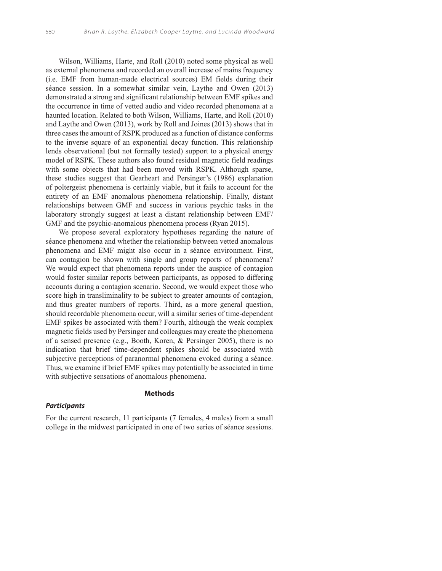Wilson, Williams, Harte, and Roll (2010) noted some physical as well as external phenomena and recorded an overall increase of mains frequency (i.e. EMF from human-made electrical sources) EM fields during their séance session. In a somewhat similar vein, Laythe and Owen (2013) demonstrated a strong and significant relationship between EMF spikes and the occurrence in time of vetted audio and video recorded phenomena at a haunted location. Related to both Wilson, Williams, Harte, and Roll (2010) and Laythe and Owen (2013), work by Roll and Joines (2013) shows that in three cases the amount of RSPK produced as a function of distance conforms to the inverse square of an exponential decay function. This relationship lends observational (but not formally tested) support to a physical energy model of RSPK. These authors also found residual magnetic field readings with some objects that had been moved with RSPK. Although sparse, these studies suggest that Gearheart and Persinger's (1986) explanation of poltergeist phenomena is certainly viable, but it fails to account for the entirety of an EMF anomalous phenomena relationship. Finally, distant relationships between GMF and success in various psychic tasks in the laboratory strongly suggest at least a distant relationship between EMF/ GMF and the psychic-anomalous phenomena process (Ryan 2015).

We propose several exploratory hypotheses regarding the nature of séance phenomena and whether the relationship between vetted anomalous phenomena and EMF might also occur in a séance environment. First, can contagion be shown with single and group reports of phenomena? We would expect that phenomena reports under the auspice of contagion would foster similar reports between participants, as opposed to differing accounts during a contagion scenario. Second, we would expect those who score high in transliminality to be subject to greater amounts of contagion, and thus greater numbers of reports. Third, as a more general question, should recordable phenomena occur, will a similar series of time-dependent EMF spikes be associated with them? Fourth, although the weak complex magnetic fields used by Persinger and colleagues may create the phenomena of a sensed presence (e.g., Booth, Koren, & Persinger 2005), there is no indication that brief time-dependent spikes should be associated with subjective perceptions of paranormal phenomena evoked during a séance. Thus, we examine if brief EMF spikes may potentially be associated in time with subjective sensations of anomalous phenomena.

## **Methods**

## **Participants**

For the current research, 11 participants (7 females, 4 males) from a small college in the midwest participated in one of two series of séance sessions.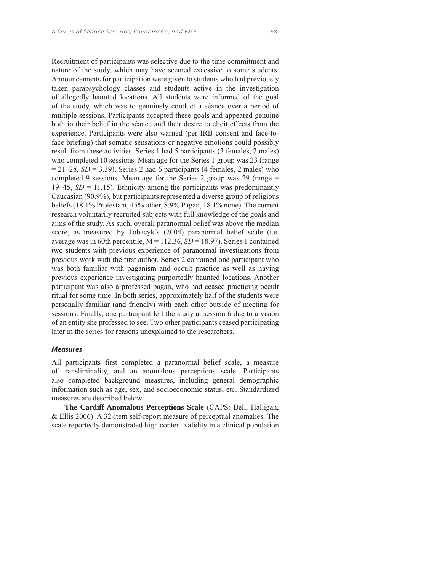Recruitment of participants was selective due to the time commitment and nature of the study, which may have seemed excessive to some students. Announcements for participation were given to students who had previously taken parapsychology classes and students active in the investigation of allegedly haunted locations. All students were informed of the goal of the study, which was to genuinely conduct a séance over a period of multiple sessions. Participants accepted these goals and appeared genuine both in their belief in the séance and their desire to elicit effects from the experience. Participants were also warned (per IRB consent and face-toface briefing) that somatic sensations or negative emotions could possibly result from these activities. Series 1 had 5 participants (3 females, 2 males) who completed 10 sessions. Mean age for the Series 1 group was 23 (range  $= 21-28$ , *SD* = 3.39). Series 2 had 6 participants (4 females, 2 males) who completed 9 sessions. Mean age for the Series 2 group was 29 (range = 19–45,  $SD = 11.15$ ). Ethnicity among the participants was predominantly Caucasian (90.9%), but participants represented a diverse group of religious beliefs (18.1% Protestant, 45% other, 8.9% Pagan, 18.1% none). The current research voluntarily recruited subjects with full knowledge of the goals and aims of the study. As such, overall paranormal belief was above the median score, as measured by Tobacyk's (2004) paranormal belief scale (i.e. average was in 60th percentile,  $M = 112.36$ ,  $SD = 18.97$ ). Series 1 contained two students with previous experience of paranormal investigations from previous work with the first author. Series 2 contained one participant who was both familiar with paganism and occult practice as well as having previous experience investigating purportedly haunted locations. Another participant was also a professed pagan, who had ceased practicing occult ritual for some time. In both series, approximately half of the students were personally familiar (and friendly) with each other outside of meeting for sessions. Finally, one participant left the study at session 6 due to a vision of an entity she professed to see. Two other participants ceased participating later in the series for reasons unexplained to the researchers.

#### **Measures**

All participants first completed a paranormal belief scale, a measure of transliminality, and an anomalous perceptions scale. Participants also completed background measures, including general demographic information such as age, sex, and socioeconomic status, etc. Standardized measures are described below.

**The Cardiff Anomalous Perceptions Scale** (CAPS: Bell, Halligan, & Ellis 2006). A 32-item self-report measure of perceptual anomalies. The scale reportedly demonstrated high content validity in a clinical population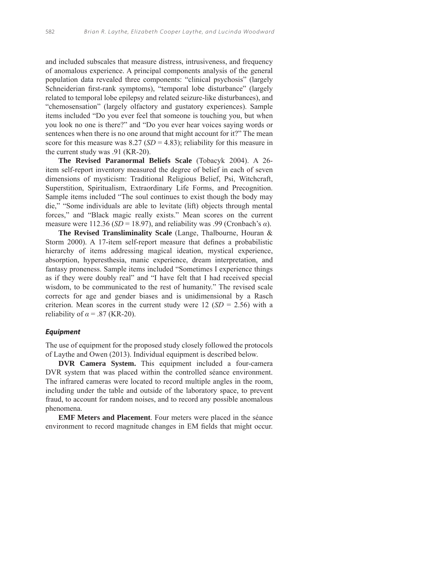and included subscales that measure distress, intrusiveness, and frequency of anomalous experience. A principal components analysis of the general population data revealed three components: "clinical psychosis" (largely Schneiderian first-rank symptoms), "temporal lobe disturbance" (largely related to temporal lobe epilepsy and related seizure-like disturbances), and "chemosensation" (largely olfactory and gustatory experiences). Sample items included "Do you ever feel that someone is touching you, but when you look no one is there?" and "Do you ever hear voices saying words or sentences when there is no one around that might account for it?" The mean score for this measure was  $8.27$  (*SD* = 4.83); reliability for this measure in the current study was .91 (KR-20).

**The Revised Paranormal Beliefs Scale** (Tobacyk 2004). A 26 item self-report inventory measured the degree of belief in each of seven dimensions of mysticism: Traditional Religious Belief, Psi, Witchcraft, Superstition, Spiritualism, Extraordinary Life Forms, and Precognition. Sample items included "The soul continues to exist though the body may die," "Some individuals are able to levitate (lift) objects through mental forces," and "Black magic really exists." Mean scores on the current measure were 112.36 ( $SD = 18.97$ ), and reliability was .99 (Cronbach's  $\alpha$ ).

**The Revised Transliminality Scale** (Lange, Thalbourne, Houran & Storm 2000). A 17-item self-report measure that defines a probabilistic hierarchy of items addressing magical ideation, mystical experience, absorption, hyperesthesia, manic experience, dream interpretation, and fantasy proneness. Sample items included "Sometimes I experience things as if they were doubly real" and "I have felt that I had received special wisdom, to be communicated to the rest of humanity." The revised scale corrects for age and gender biases and is unidimensional by a Rasch criterion. Mean scores in the current study were  $12$  (*SD* = 2.56) with a reliability of  $\alpha$  = .87 (KR-20).

### **Equipment**

The use of equipment for the proposed study closely followed the protocols of Laythe and Owen (2013). Individual equipment is described below.

**DVR Camera System.** This equipment included a four-camera DVR system that was placed within the controlled séance environment. The infrared cameras were located to record multiple angles in the room, including under the table and outside of the laboratory space, to prevent fraud, to account for random noises, and to record any possible anomalous phenomena.

**EMF Meters and Placement**. Four meters were placed in the séance environment to record magnitude changes in EM fields that might occur.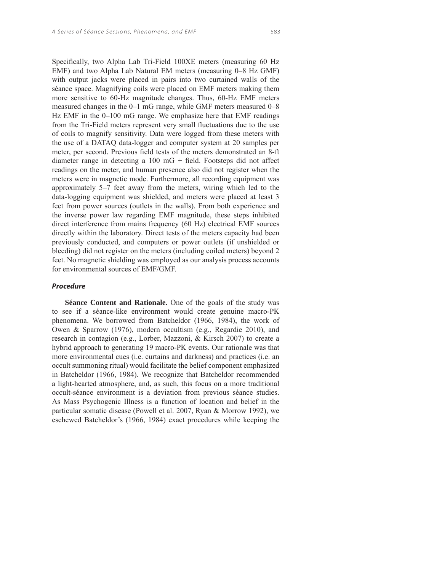Specifically, two Alpha Lab Tri-Field 100XE meters (measuring 60 Hz EMF) and two Alpha Lab Natural EM meters (measuring 0–8 Hz GMF) with output jacks were placed in pairs into two curtained walls of the séance space. Magnifying coils were placed on EMF meters making them more sensitive to 60-Hz magnitude changes. Thus, 60-Hz EMF meters measured changes in the 0–1 mG range, while GMF meters measured 0–8 Hz EMF in the 0–100 mG range. We emphasize here that EMF readings from the Tri-Field meters represent very small fluctuations due to the use of coils to magnify sensitivity. Data were logged from these meters with the use of a DATAQ data-logger and computer system at 20 samples per

meter, per second. Previous field tests of the meters demonstrated an 8-ft diameter range in detecting a  $100 \text{ mG} + \text{field}$ . Footsteps did not affect readings on the meter, and human presence also did not register when the meters were in magnetic mode. Furthermore, all recording equipment was approximately 5–7 feet away from the meters, wiring which led to the data-logging equipment was shielded, and meters were placed at least 3 feet from power sources (outlets in the walls). From both experience and the inverse power law regarding EMF magnitude, these steps inhibited direct interference from mains frequency (60 Hz) electrical EMF sources directly within the laboratory. Direct tests of the meters capacity had been previously conducted, and computers or power outlets (if unshielded or bleeding) did not register on the meters (including coiled meters) beyond 2 feet. No magnetic shielding was employed as our analysis process accounts for environmental sources of EMF/GMF.

#### **Procedure**

**Séance Content and Rationale.** One of the goals of the study was to see if a séance-like environment would create genuine macro-PK phenomena. We borrowed from Batcheldor (1966, 1984), the work of Owen & Sparrow (1976), modern occultism (e.g., Regardie 2010), and research in contagion (e.g., Lorber, Mazzoni, & Kirsch 2007) to create a hybrid approach to generating 19 macro-PK events. Our rationale was that more environmental cues (i.e. curtains and darkness) and practices (i.e. an occult summoning ritual) would facilitate the belief component emphasized in Batcheldor (1966, 1984). We recognize that Batcheldor recommended a light-hearted atmosphere, and, as such, this focus on a more traditional occult-séance environment is a deviation from previous séance studies. As Mass Psychogenic Illness is a function of location and belief in the particular somatic disease (Powell et al. 2007, Ryan & Morrow 1992), we eschewed Batcheldor's (1966, 1984) exact procedures while keeping the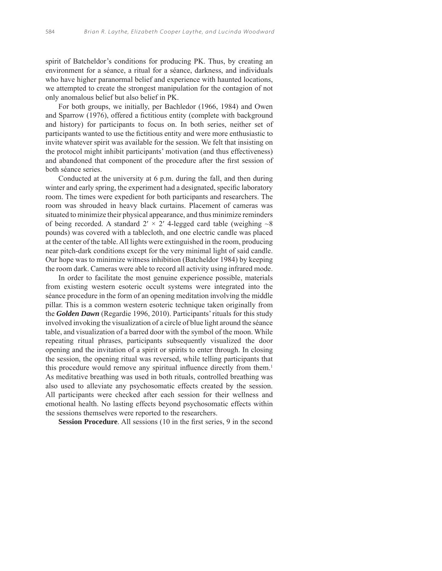spirit of Batcheldor's conditions for producing PK. Thus, by creating an environment for a séance, a ritual for a séance, darkness, and individuals who have higher paranormal belief and experience with haunted locations, we attempted to create the strongest manipulation for the contagion of not only anomalous belief but also belief in PK.

For both groups, we initially, per Bachledor (1966, 1984) and Owen and Sparrow (1976), offered a fictitious entity (complete with background and history) for participants to focus on. In both series, neither set of participants wanted to use the fictitious entity and were more enthusiastic to invite whatever spirit was available for the session. We felt that insisting on the protocol might inhibit participants' motivation (and thus effectiveness) and abandoned that component of the procedure after the first session of both séance series.

Conducted at the university at 6 p.m. during the fall, and then during winter and early spring, the experiment had a designated, specific laboratory room. The times were expedient for both participants and researchers. The room was shrouded in heavy black curtains. Placement of cameras was situated to minimize their physical appearance, and thus minimize reminders of being recorded. A standard  $2' \times 2'$  4-legged card table (weighing  $\sim 8$ pounds) was covered with a tablecloth, and one electric candle was placed at the center of the table. All lights were extinguished in the room, producing near pitch-dark conditions except for the very minimal light of said candle. Our hope was to minimize witness inhibition (Batcheldor 1984) by keeping the room dark. Cameras were able to record all activity using infrared mode.

In order to facilitate the most genuine experience possible, materials from existing western esoteric occult systems were integrated into the séance procedure in the form of an opening meditation involving the middle pillar. This is a common western esoteric technique taken originally from the *Golden Dawn* (Regardie 1996, 2010). Participants' rituals for this study involved invoking the visualization of a circle of blue light around the séance table, and visualization of a barred door with the symbol of the moon. While repeating ritual phrases, participants subsequently visualized the door opening and the invitation of a spirit or spirits to enter through. In closing the session, the opening ritual was reversed, while telling participants that this procedure would remove any spiritual influence directly from them.<sup>1</sup> As meditative breathing was used in both rituals, controlled breathing was also used to alleviate any psychosomatic effects created by the session. All participants were checked after each session for their wellness and emotional health. No lasting effects beyond psychosomatic effects within the sessions themselves were reported to the researchers.

**Session Procedure**. All sessions (10 in the first series, 9 in the second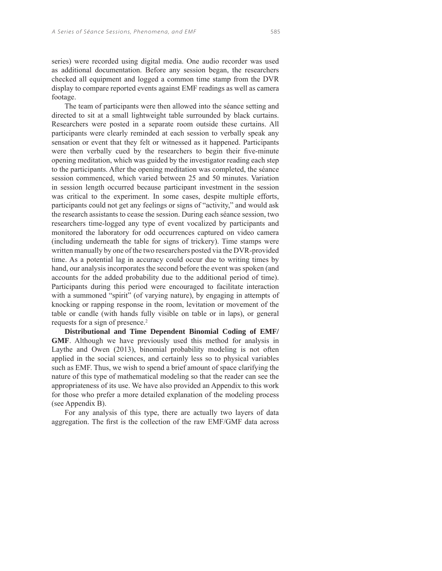series) were recorded using digital media. One audio recorder was used as additional documentation. Before any session began, the researchers checked all equipment and logged a common time stamp from the DVR display to compare reported events against EMF readings as well as camera footage.

The team of participants were then allowed into the séance setting and directed to sit at a small lightweight table surrounded by black curtains. Researchers were posted in a separate room outside these curtains. All participants were clearly reminded at each session to verbally speak any sensation or event that they felt or witnessed as it happened. Participants were then verbally cued by the researchers to begin their five-minute opening meditation, which was guided by the investigator reading each step to the participants. After the opening meditation was completed, the séance session commenced, which varied between 25 and 50 minutes. Variation in session length occurred because participant investment in the session was critical to the experiment. In some cases, despite multiple efforts, participants could not get any feelings or signs of "activity," and would ask the research assistants to cease the session. During each séance session, two researchers time-logged any type of event vocalized by participants and monitored the laboratory for odd occurrences captured on video camera (including underneath the table for signs of trickery). Time stamps were written manually by one of the two researchers posted via the DVR-provided time. As a potential lag in accuracy could occur due to writing times by hand, our analysis incorporates the second before the event was spoken (and accounts for the added probability due to the additional period of time). Participants during this period were encouraged to facilitate interaction with a summoned "spirit" (of varying nature), by engaging in attempts of knocking or rapping response in the room, levitation or movement of the table or candle (with hands fully visible on table or in laps), or general requests for a sign of presence.2

**Distributional and Time Dependent Binomial Coding of EMF/ GMF**. Although we have previously used this method for analysis in Laythe and Owen (2013), binomial probability modeling is not often applied in the social sciences, and certainly less so to physical variables such as EMF. Thus, we wish to spend a brief amount of space clarifying the nature of this type of mathematical modeling so that the reader can see the appropriateness of its use. We have also provided an Appendix to this work for those who prefer a more detailed explanation of the modeling process (see Appendix B).

For any analysis of this type, there are actually two layers of data aggregation. The first is the collection of the raw EMF/GMF data across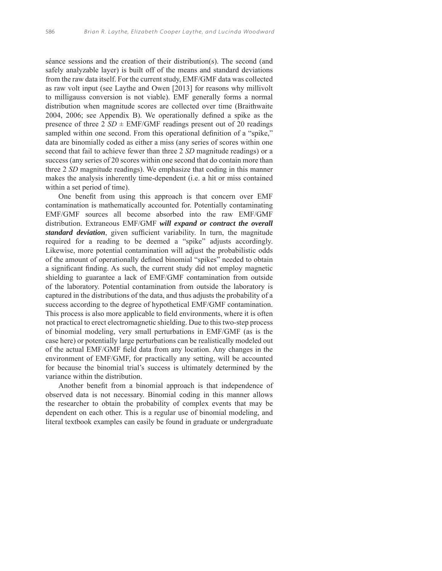séance sessions and the creation of their distribution(s). The second (and safely analyzable layer) is built off of the means and standard deviations from the raw data itself. For the current study, EMF/GMF data was collected as raw volt input (see Laythe and Owen [2013] for reasons why millivolt to milligauss conversion is not viable). EMF generally forms a normal distribution when magnitude scores are collected over time (Braithwaite 2004, 2006; see Appendix B). We operationally defined a spike as the presence of three  $2 SD \pm EMF/GMF$  readings present out of 20 readings sampled within one second. From this operational definition of a "spike," data are binomially coded as either a miss (any series of scores within one second that fail to achieve fewer than three 2 *SD* magnitude readings) or a success (any series of 20 scores within one second that do contain more than three 2 *SD* magnitude readings). We emphasize that coding in this manner makes the analysis inherently time-dependent (i.e. a hit or miss contained within a set period of time).

One benefit from using this approach is that concern over EMF contamination is mathematically accounted for. Potentially contaminating EMF/GMF sources all become absorbed into the raw EMF/GMF distribution. Extraneous EMF/GMF *will expand or contract the overall standard deviation*, given sufficient variability. In turn, the magnitude required for a reading to be deemed a "spike" adjusts accordingly. Likewise, more potential contamination will adjust the probabilistic odds of the amount of operationally defined binomial "spikes" needed to obtain a significant finding. As such, the current study did not employ magnetic shielding to guarantee a lack of EMF/GMF contamination from outside of the laboratory. Potential contamination from outside the laboratory is captured in the distributions of the data, and thus adjusts the probability of a success according to the degree of hypothetical EMF/GMF contamination. This process is also more applicable to field environments, where it is often not practical to erect electromagnetic shielding. Due to this two-step process of binomial modeling, very small perturbations in EMF/GMF (as is the case here) or potentially large perturbations can be realistically modeled out of the actual EMF/GMF field data from any location. Any changes in the environment of EMF/GMF, for practically any setting, will be accounted for because the binomial trial's success is ultimately determined by the variance within the distribution.

Another benefit from a binomial approach is that independence of observed data is not necessary. Binomial coding in this manner allows the researcher to obtain the probability of complex events that may be dependent on each other. This is a regular use of binomial modeling, and literal textbook examples can easily be found in graduate or undergraduate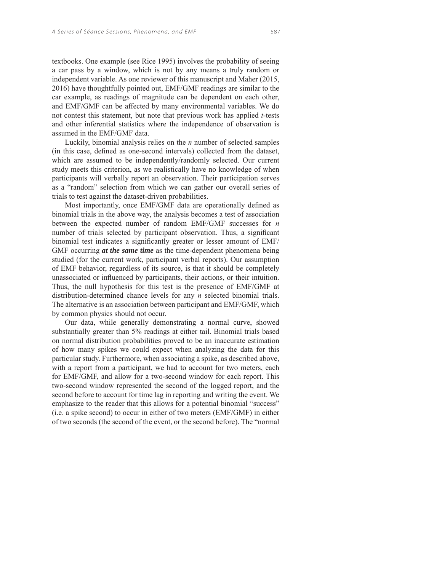textbooks. One example (see Rice 1995) involves the probability of seeing a car pass by a window, which is not by any means a truly random or independent variable. As one reviewer of this manuscript and Maher (2015, 2016) have thoughtfully pointed out, EMF/GMF readings are similar to the car example, as readings of magnitude can be dependent on each other, and EMF/GMF can be affected by many environmental variables. We do not contest this statement, but note that previous work has applied *t*-tests and other inferential statistics where the independence of observation is assumed in the EMF/GMF data.

Luckily, binomial analysis relies on the *n* number of selected samples (in this case, defined as one-second intervals) collected from the dataset, which are assumed to be independently/randomly selected. Our current study meets this criterion, as we realistically have no knowledge of when participants will verbally report an observation. Their participation serves as a "random" selection from which we can gather our overall series of trials to test against the dataset-driven probabilities.

Most importantly, once EMF/GMF data are operationally defined as binomial trials in the above way, the analysis becomes a test of association between the expected number of random EMF/GMF successes for *n* number of trials selected by participant observation. Thus, a significant binomial test indicates a significantly greater or lesser amount of EMF/ GMF occurring *at the same time* as the time-dependent phenomena being studied (for the current work, participant verbal reports). Our assumption of EMF behavior, regardless of its source, is that it should be completely unassociated or influenced by participants, their actions, or their intuition. Thus, the null hypothesis for this test is the presence of EMF/GMF at distribution-determined chance levels for any *n* selected binomial trials. The alternative is an association between participant and EMF/GMF, which by common physics should not occur.

Our data, while generally demonstrating a normal curve, showed substantially greater than 5% readings at either tail. Binomial trials based on normal distribution probabilities proved to be an inaccurate estimation of how many spikes we could expect when analyzing the data for this particular study. Furthermore, when associating a spike, as described above, with a report from a participant, we had to account for two meters, each for EMF/GMF, and allow for a two-second window for each report. This two-second window represented the second of the logged report, and the second before to account for time lag in reporting and writing the event. We emphasize to the reader that this allows for a potential binomial "success" (i.e. a spike second) to occur in either of two meters (EMF/GMF) in either of two seconds (the second of the event, or the second before). The "normal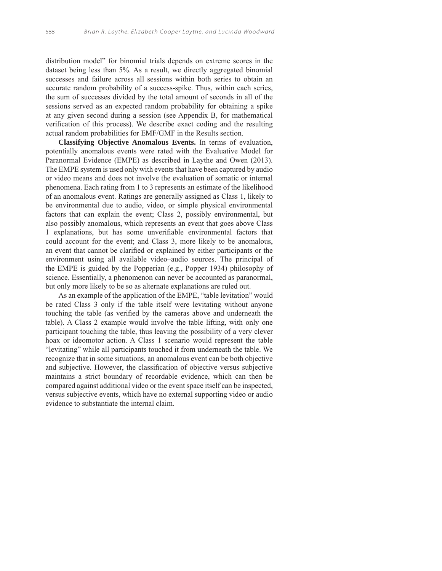distribution model" for binomial trials depends on extreme scores in the dataset being less than 5%. As a result, we directly aggregated binomial successes and failure across all sessions within both series to obtain an accurate random probability of a success-spike. Thus, within each series, the sum of successes divided by the total amount of seconds in all of the sessions served as an expected random probability for obtaining a spike at any given second during a session (see Appendix B, for mathematical verification of this process). We describe exact coding and the resulting actual random probabilities for EMF/GMF in the Results section.

**Classifying Objective Anomalous Events.** In terms of evaluation, potentially anomalous events were rated with the Evaluative Model for Paranormal Evidence (EMPE) as described in Laythe and Owen (2013). The EMPE system is used only with events that have been captured by audio or video means and does not involve the evaluation of somatic or internal phenomena. Each rating from 1 to 3 represents an estimate of the likelihood of an anomalous event. Ratings are generally assigned as Class 1, likely to be environmental due to audio, video, or simple physical environmental factors that can explain the event; Class 2, possibly environmental, but also possibly anomalous, which represents an event that goes above Class 1 explanations, but has some unverifiable environmental factors that could account for the event; and Class 3, more likely to be anomalous, an event that cannot be clarified or explained by either participants or the environment using all available video–audio sources. The principal of the EMPE is guided by the Popperian (e.g., Popper 1934) philosophy of science. Essentially, a phenomenon can never be accounted as paranormal, but only more likely to be so as alternate explanations are ruled out.

As an example of the application of the EMPE, "table levitation" would be rated Class 3 only if the table itself were levitating without anyone touching the table (as verified by the cameras above and underneath the table). A Class 2 example would involve the table lifting, with only one participant touching the table, thus leaving the possibility of a very clever hoax or ideomotor action. A Class 1 scenario would represent the table "levitating" while all participants touched it from underneath the table. We recognize that in some situations, an anomalous event can be both objective and subjective. However, the classification of objective versus subjective maintains a strict boundary of recordable evidence, which can then be compared against additional video or the event space itself can be inspected, versus subjective events, which have no external supporting video or audio evidence to substantiate the internal claim.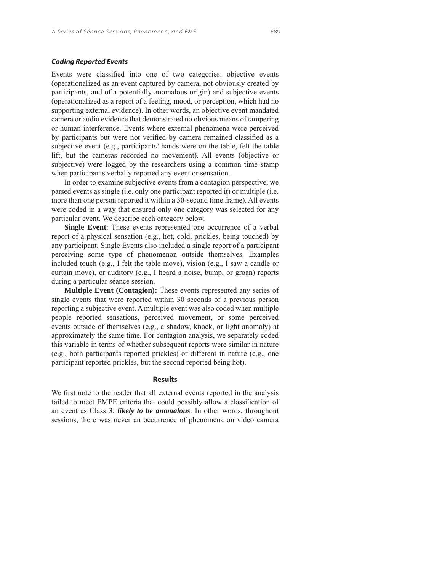## **Coding Reported Events**

Events were classified into one of two categories: objective events (operationalized as an event captured by camera, not obviously created by participants, and of a potentially anomalous origin) and subjective events (operationalized as a report of a feeling, mood, or perception, which had no supporting external evidence). In other words, an objective event mandated camera or audio evidence that demonstrated no obvious means of tampering or human interference. Events where external phenomena were perceived by participants but were not verified by camera remained classified as a subjective event (e.g., participants' hands were on the table, felt the table lift, but the cameras recorded no movement). All events (objective or subjective) were logged by the researchers using a common time stamp when participants verbally reported any event or sensation.

In order to examine subjective events from a contagion perspective, we parsed events as single (i.e. only one participant reported it) or multiple (i.e. more than one person reported it within a 30-second time frame). All events were coded in a way that ensured only one category was selected for any particular event. We describe each category below.

**Single Event**: These events represented one occurrence of a verbal report of a physical sensation (e.g., hot, cold, prickles, being touched) by any participant. Single Events also included a single report of a participant perceiving some type of phenomenon outside themselves. Examples included touch (e.g., I felt the table move), vision (e.g., I saw a candle or curtain move), or auditory (e.g., I heard a noise, bump, or groan) reports during a particular séance session.

**Multiple Event (Contagion):** These events represented any series of single events that were reported within 30 seconds of a previous person reporting a subjective event. A multiple event was also coded when multiple people reported sensations, perceived movement, or some perceived events outside of themselves (e.g., a shadow, knock, or light anomaly) at approximately the same time. For contagion analysis, we separately coded this variable in terms of whether subsequent reports were similar in nature (e.g., both participants reported prickles) or different in nature (e.g., one participant reported prickles, but the second reported being hot).

## **Results**

We first note to the reader that all external events reported in the analysis failed to meet EMPE criteria that could possibly allow a classification of an event as Class 3: *likely to be anomalous*. In other words, throughout sessions, there was never an occurrence of phenomena on video camera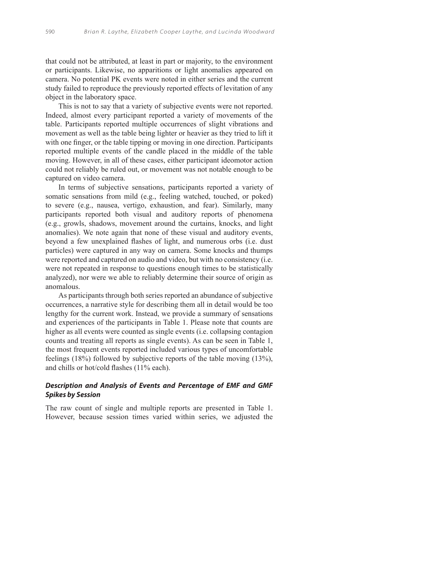that could not be attributed, at least in part or majority, to the environment or participants. Likewise, no apparitions or light anomalies appeared on camera. No potential PK events were noted in either series and the current study failed to reproduce the previously reported effects of levitation of any object in the laboratory space.

This is not to say that a variety of subjective events were not reported. Indeed, almost every participant reported a variety of movements of the table. Participants reported multiple occurrences of slight vibrations and movement as well as the table being lighter or heavier as they tried to lift it with one finger, or the table tipping or moving in one direction. Participants reported multiple events of the candle placed in the middle of the table moving. However, in all of these cases, either participant ideomotor action could not reliably be ruled out, or movement was not notable enough to be captured on video camera.

In terms of subjective sensations, participants reported a variety of somatic sensations from mild (e.g., feeling watched, touched, or poked) to severe (e.g., nausea, vertigo, exhaustion, and fear). Similarly, many participants reported both visual and auditory reports of phenomena (e.g., growls, shadows, movement around the curtains, knocks, and light anomalies). We note again that none of these visual and auditory events, beyond a few unexplained flashes of light, and numerous orbs (i.e. dust particles) were captured in any way on camera. Some knocks and thumps were reported and captured on audio and video, but with no consistency (i.e. were not repeated in response to questions enough times to be statistically analyzed), nor were we able to reliably determine their source of origin as anomalous.

As participants through both series reported an abundance of subjective occurrences, a narrative style for describing them all in detail would be too lengthy for the current work. Instead, we provide a summary of sensations and experiences of the participants in Table 1. Please note that counts are higher as all events were counted as single events (i.e. collapsing contagion counts and treating all reports as single events). As can be seen in Table 1, the most frequent events reported included various types of uncomfortable feelings (18%) followed by subjective reports of the table moving (13%), and chills or hot/cold flashes (11% each).

# **Description and Analysis of Events and Percentage of EMF and GMF Spikes by Session**

The raw count of single and multiple reports are presented in Table 1. However, because session times varied within series, we adjusted the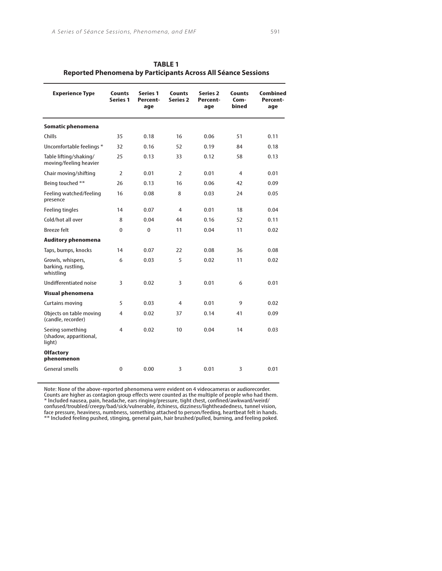| <b>TABLE 1</b>                                                |
|---------------------------------------------------------------|
| Reported Phenomena by Participants Across All Séance Sessions |

| <b>Experience Type</b>                               | <b>Counts</b><br><b>Series 1</b> | <b>Series 1</b><br>Percent-<br>age | Counts<br><b>Series 2</b> | <b>Series 2</b><br>Percent-<br>age | Counts<br>Com-<br>bined | Combined<br>Percent-<br>age |
|------------------------------------------------------|----------------------------------|------------------------------------|---------------------------|------------------------------------|-------------------------|-----------------------------|
| Somatic phenomena                                    |                                  |                                    |                           |                                    |                         |                             |
| Chills                                               | 35                               | 0.18                               | 16                        | 0.06                               | 51                      | 0.11                        |
| Uncomfortable feelings *                             | 32                               | 0.16                               | 52                        | 0.19                               | 84                      | 0.18                        |
| Table lifting/shaking/<br>moving/feeling heavier     | 25                               | 0.13                               | 33                        | 0.12                               | 58                      | 0.13                        |
| Chair moving/shifting                                | 2                                | 0.01                               | 2                         | 0.01                               | 4                       | 0.01                        |
| Being touched **                                     | 26                               | 0.13                               | 16                        | 0.06                               | 42                      | 0.09                        |
| Feeling watched/feeling<br>presence                  | 16                               | 0.08                               | 8                         | 0.03                               | 24                      | 0.05                        |
| <b>Feeling tingles</b>                               | 14                               | 0.07                               | 4                         | 0.01                               | 18                      | 0.04                        |
| Cold/hot all over                                    | 8                                | 0.04                               | 44                        | 0.16                               | 52                      | 0.11                        |
| <b>Breeze felt</b>                                   | $\mathbf{0}$                     | 0                                  | 11                        | 0.04                               | 11                      | 0.02                        |
| <b>Auditory phenomena</b>                            |                                  |                                    |                           |                                    |                         |                             |
| Taps, bumps, knocks                                  | 14                               | 0.07                               | 22                        | 0.08                               | 36                      | 0.08                        |
| Growls, whispers,<br>barking, rustling,<br>whistling | 6                                | 0.03                               | 5                         | 0.02                               | 11                      | 0.02                        |
| <b>Undifferentiated noise</b>                        | 3                                | 0.02                               | 3                         | 0.01                               | 6                       | 0.01                        |
| <b>Visual phenomena</b>                              |                                  |                                    |                           |                                    |                         |                             |
| <b>Curtains moving</b>                               | 5                                | 0.03                               | 4                         | 0.01                               | 9                       | 0.02                        |
| Objects on table moving<br>(candle, recorder)        | $\overline{4}$                   | 0.02                               | 37                        | 0.14                               | 41                      | 0.09                        |
| Seeing something<br>(shadow, apparitional,<br>light) | 4                                | 0.02                               | 10                        | 0.04                               | 14                      | 0.03                        |
| <b>Olfactory</b><br>phenomenon                       |                                  |                                    |                           |                                    |                         |                             |
| General smells                                       | $\mathbf{0}$                     | 0.00                               | 3                         | 0.01                               | 3                       | 0.01                        |
|                                                      |                                  |                                    |                           |                                    |                         |                             |

Note: None of the above-reported phenomena were evident on 4 videocameras or audiorecorder. Counts are higher as contagion group effects were counted as the multiple of people who had them. \* Included nausea, pain, headache, ears ringing/pressure, tight chest, confined/awkward/weird/ confused/troubled/creepy/bad/sick/vulnerable, itchiness, dizziness/lightheadedness, tunnel vision, face pressure, heaviness, numbness, something attached to person/feeding, heartbeat felt in hands.

\*\* Included feeling pushed, stinging, general pain, hair brushed/pulled, burning, and feeling poked.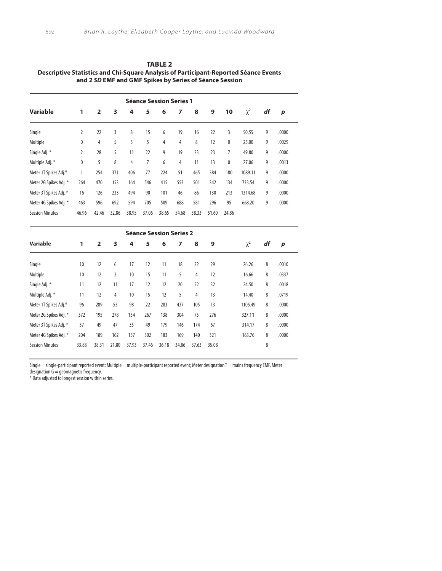| <b>TABLE 2</b>                                                                       |
|--------------------------------------------------------------------------------------|
| Descriptive Statistics and Chi-Square Analysis of Participant-Reported Séance Events |
| and 2 SD EMF and GMF Spikes by Series of Séance Session                              |

|                        |       |                |       |       |       |       | <b>Séance Session Series 1</b> |       |       |       |          |    |       |
|------------------------|-------|----------------|-------|-------|-------|-------|--------------------------------|-------|-------|-------|----------|----|-------|
| <b>Variable</b>        | 1     | $\overline{2}$ | 3     | 4     | 5     | 6     | 7                              | 8     | 9     | 10    | $\chi^2$ | df | p     |
| Single                 | 2     | 22             | 3     | 8     | 15    | 6     | 19                             | 16    | 22    | 3     | 50.55    | 9  | .0000 |
| Multiple               | 0     | 4              | 5     | 3     | 5     | 4     | 4                              | 8     | 12    | 0     | 25.00    | 9  | .0029 |
| Single Adj. *          | 2     | 28             | 5     | 11    | 22    | 9     | 19                             | 23    | 23    | 7     | 49.80    | 9  | .0000 |
| Multiple Adj. *        | 0     | 5              | 8     | 4     | 7     | 6     | 4                              | 11    | 13    | 0     | 27.06    | 9  | .0013 |
| Meter 1T Spikes Adj.*  | 1     | 254            | 371   | 406   | 77    | 224   | 51                             | 465   | 384   | 180   | 1089.11  | 9  | .0000 |
| Meter 2G Spikes Adj. * | 264   | 470            | 153   | 164   | 546   | 415   | 553                            | 501   | 342   | 134   | 733.54   | 9  | .0000 |
| Meter 3T Spikes Adj. * | 16    | 126            | 233   | 494   | 90    | 101   | 46                             | 86    | 130   | 213   | 1314.68  | 9  | .0000 |
| Meter 4G Spikes Adj. * | 463   | 596            | 692   | 594   | 705   | 509   | 688                            | 581   | 296   | 95    | 668.20   | 9  | .0000 |
| <b>Session Minutes</b> | 46.96 | 42.46          | 32.86 | 38.95 | 37.06 | 38.65 | 54.68                          | 38.33 | 51.60 | 24.86 |          |    |       |

|                        |       |                |       |       | <b>Séance Session Series 2</b> |       |       |       |       |          |    |       |
|------------------------|-------|----------------|-------|-------|--------------------------------|-------|-------|-------|-------|----------|----|-------|
| Variable               | 1     | $\overline{2}$ | 3     | 4     | 5                              | 6     | 7     | 8     | 9     | $\chi^2$ | df | p     |
| Single                 | 10    | 12             | 6     | 17    | 12                             | 11    | 18    | 22    | 29    | 26.26    | 8  | .0010 |
| Multiple               | 10    | 12             | 2     | 10    | 15                             | 11    | 5     | 4     | 12    | 16.66    | 8  | .0337 |
| Single Adj. *          | 11    | 12             | 11    | 17    | 12                             | 12    | 20    | 22    | 32    | 24.50    | 8  | .0018 |
| Multiple Adj. *        | 11    | 12             | 4     | 10    | 15                             | 12    | 5     | 4     | 13    | 14.40    | 8  | .0719 |
| Meter 1T Spikes Adj.*  | 96    | 289            | 53    | 98    | 22                             | 283   | 437   | 105   | 13    | 1105.49  | 8  | .0000 |
| Meter 2G Spikes Adj. * | 372   | 195            | 278   | 134   | 267                            | 138   | 304   | 75    | 276   | 327.11   | 8  | .0000 |
| Meter 3T Spikes Adj. * | 57    | 49             | 47    | 35    | 49                             | 179   | 146   | 174   | 67    | 314.17   | 8  | .0000 |
| Meter 4G Spikes Adj. * | 204   | 189            | 162   | 157   | 302                            | 183   | 169   | 140   | 321   | 163.76   | 8  | .0000 |
| <b>Session Minutes</b> | 33.88 | 38.31          | 21.80 | 37.93 | 37.46                          | 36.18 | 34.86 | 37.63 | 35.08 |          | 8  |       |

Single = single-participant reported event; Multiple = multiple-participant reported event; Meter designation T = mains frequency EMF, Meter

designation G = geomagnetic frequency.

\* Data adjusted to longest session within series.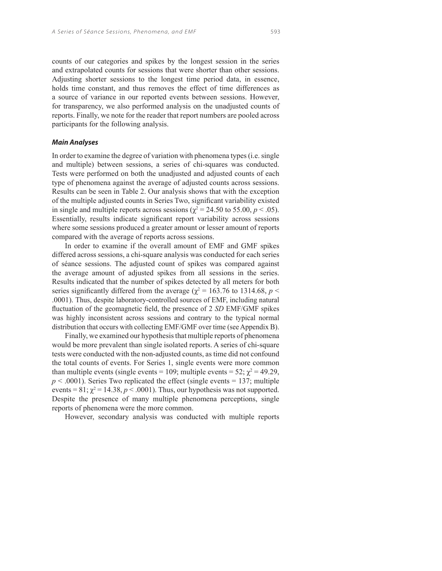counts of our categories and spikes by the longest session in the series and extrapolated counts for sessions that were shorter than other sessions. Adjusting shorter sessions to the longest time period data, in essence, holds time constant, and thus removes the effect of time differences as a source of variance in our reported events between sessions. However, for transparency, we also performed analysis on the unadjusted counts of reports. Finally, we note for the reader that report numbers are pooled across participants for the following analysis.

#### **Main Analyses**

In order to examine the degree of variation with phenomena types (i.e. single and multiple) between sessions, a series of chi-squares was conducted. Tests were performed on both the unadjusted and adjusted counts of each type of phenomena against the average of adjusted counts across sessions. Results can be seen in Table 2. Our analysis shows that with the exception of the multiple adjusted counts in Series Two, significant variability existed in single and multiple reports across sessions ( $\chi^2$  = 24.50 to 55.00, *p* < .05). Essentially, results indicate significant report variability across sessions where some sessions produced a greater amount or lesser amount of reports compared with the average of reports across sessions.

In order to examine if the overall amount of EMF and GMF spikes differed across sessions, a chi-square analysis was conducted for each series of séance sessions. The adjusted count of spikes was compared against the average amount of adjusted spikes from all sessions in the series. Results indicated that the number of spikes detected by all meters for both series significantly differed from the average ( $\chi^2$  = 163.76 to 1314.68, *p* < .0001). Thus, despite laboratory-controlled sources of EMF, including natural fluctuation of the geomagnetic field, the presence of 2 SD EMF/GMF spikes was highly inconsistent across sessions and contrary to the typical normal distribution that occurs with collecting EMF/GMF over time (see Appendix B).

Finally, we examined our hypothesis that multiple reports of phenomena would be more prevalent than single isolated reports. A series of chi-square tests were conducted with the non-adjusted counts, as time did not confound the total counts of events. For Series 1, single events were more common than multiple events (single events = 109; multiple events = 52;  $\chi^2$  = 49.29,  $p < .0001$ ). Series Two replicated the effect (single events = 137; multiple events =  $81$ ;  $\chi^2$  = 14.38,  $p < .0001$ ). Thus, our hypothesis was not supported. Despite the presence of many multiple phenomena perceptions, single reports of phenomena were the more common.

However, secondary analysis was conducted with multiple reports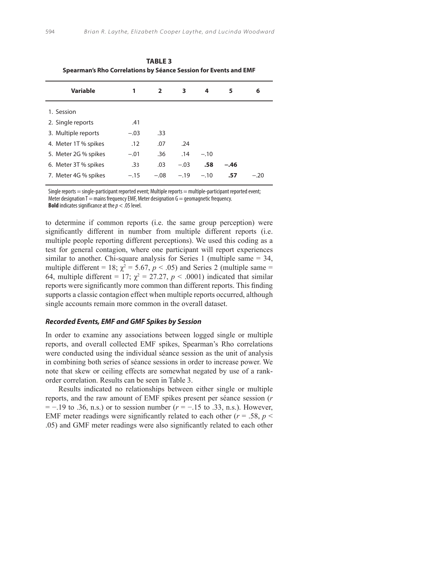| 1      | $\overline{2}$ | 3      | 4      | 5      | 6      |
|--------|----------------|--------|--------|--------|--------|
|        |                |        |        |        |        |
| .41    |                |        |        |        |        |
| $-.03$ | .33            |        |        |        |        |
| .12    | .07            | .24    |        |        |        |
| $-.01$ | .36            | .14    | $-.10$ |        |        |
| .33    | .03            | $-.03$ | .58    | $-.46$ |        |
| $-.15$ | $-.08$         | $-.19$ | $-.10$ | .57    | $-.20$ |
|        |                |        |        |        |        |

**TABLE 3 Spearman's Rho Correlations by Séance Session for Events and EMF**

Single reports = single-participant reported event; Multiple reports = multiple-participant reported event; Meter designation  $T =$  mains frequency EMF, Meter designation  $G =$  geomagnetic frequency. **Bold** indicates significance at the *p* < .05 level.

to determine if common reports (i.e. the same group perception) were significantly different in number from multiple different reports (i.e. multiple people reporting different perceptions). We used this coding as a test for general contagion, where one participant will report experiences similar to another. Chi-square analysis for Series 1 (multiple same = 34, multiple different = 18;  $\chi^2$  = 5.67,  $p < .05$ ) and Series 2 (multiple same = 64, multiple different = 17;  $\chi^2 = 27.27$ ,  $p < .0001$ ) indicated that similar reports were significantly more common than different reports. This finding supports a classic contagion effect when multiple reports occurred, although single accounts remain more common in the overall dataset.

#### **Recorded Events, EMF and GMF Spikes by Session**

In order to examine any associations between logged single or multiple reports, and overall collected EMF spikes, Spearman's Rho correlations were conducted using the individual séance session as the unit of analysis in combining both series of séance sessions in order to increase power. We note that skew or ceiling effects are somewhat negated by use of a rankorder correlation. Results can be seen in Table 3.

Results indicated no relationships between either single or multiple reports, and the raw amount of EMF spikes present per séance session (*r* = −.19 to .36, n.s.) or to session number (*r* = −.15 to .33, n.s.). However, EMF meter readings were significantly related to each other ( $r = .58$ ,  $p <$ .05) and GMF meter readings were also significantly related to each other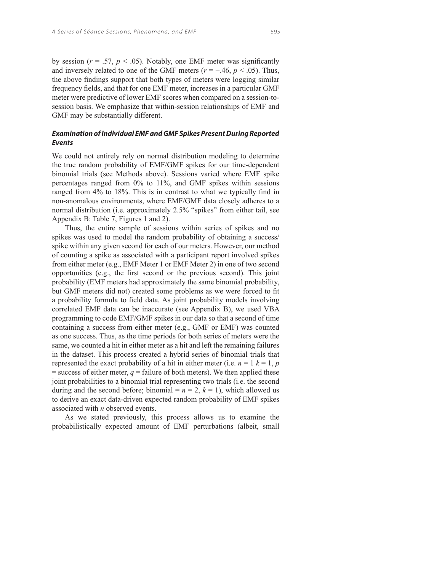by session ( $r = .57$ ,  $p < .05$ ). Notably, one EMF meter was significantly and inversely related to one of the GMF meters ( $r = -0.46$ ,  $p < 0.05$ ). Thus, the above findings support that both types of meters were logging similar frequency fields, and that for one EMF meter, increases in a particular GMF meter were predictive of lower EMF scores when compared on a session-tosession basis. We emphasize that within-session relationships of EMF and GMF may be substantially different.

# **Examination of Individual EMF and GMF Spikes Present During Reported Events**

We could not entirely rely on normal distribution modeling to determine the true random probability of EMF/GMF spikes for our time-dependent binomial trials (see Methods above). Sessions varied where EMF spike percentages ranged from 0% to 11%, and GMF spikes within sessions ranged from 4% to 18%. This is in contrast to what we typically find in non-anomalous environments, where EMF/GMF data closely adheres to a normal distribution (i.e. approximately 2.5% "spikes" from either tail, see Appendix B: Table 7, Figures 1 and 2).

Thus, the entire sample of sessions within series of spikes and no spikes was used to model the random probability of obtaining a success/ spike within any given second for each of our meters. However, our method of counting a spike as associated with a participant report involved spikes from either meter (e.g., EMF Meter 1 or EMF Meter 2) in one of two second opportunities (e.g., the first second or the previous second). This joint probability (EMF meters had approximately the same binomial probability, but GMF meters did not) created some problems as we were forced to fit a probability formula to field data. As joint probability models involving correlated EMF data can be inaccurate (see Appendix B), we used VBA programming to code EMF/GMF spikes in our data so that a second of time containing a success from either meter (e.g., GMF or EMF) was counted as one success. Thus, as the time periods for both series of meters were the same, we counted a hit in either meter as a hit and left the remaining failures in the dataset. This process created a hybrid series of binomial trials that represented the exact probability of a hit in either meter (i.e.  $n = 1$   $k = 1$ ,  $p$  $=$  success of either meter,  $q =$  failure of both meters). We then applied these joint probabilities to a binomial trial representing two trials (i.e. the second during and the second before; binomial =  $n = 2$ ,  $k = 1$ ), which allowed us to derive an exact data-driven expected random probability of EMF spikes associated with *n* observed events.

As we stated previously, this process allows us to examine the probabilistically expected amount of EMF perturbations (albeit, small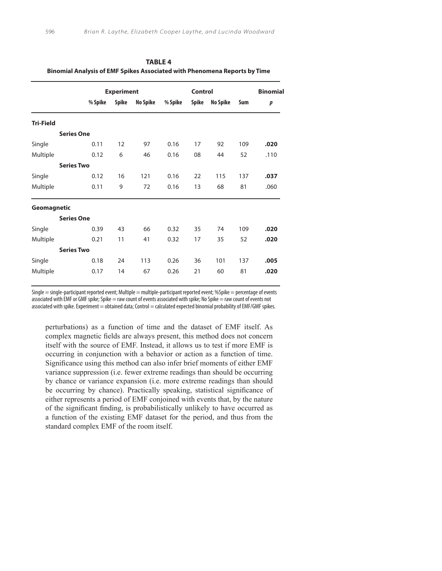|                    |                   | <b>Experiment</b> |          |         | <b>Control</b> |                 |     | <b>Binomial</b> |
|--------------------|-------------------|-------------------|----------|---------|----------------|-----------------|-----|-----------------|
|                    | % Spike           | <b>Spike</b>      | No Spike | % Spike | Spike          | <b>No Spike</b> | Sum | p               |
| <b>Tri-Field</b>   |                   |                   |          |         |                |                 |     |                 |
|                    | <b>Series One</b> |                   |          |         |                |                 |     |                 |
| Single             | 0.11              | 12                | 97       | 0.16    | 17             | 92              | 109 | .020            |
| Multiple           | 0.12              | 6                 | 46       | 0.16    | 08             | 44              | 52  | .110            |
|                    | <b>Series Two</b> |                   |          |         |                |                 |     |                 |
| Single             | 0.12              | 16                | 121      | 0.16    | 22             | 115             | 137 | .037            |
| Multiple           | 0.11              | 9                 | 72       | 0.16    | 13             | 68              | 81  | .060            |
| <b>Geomagnetic</b> |                   |                   |          |         |                |                 |     |                 |
|                    | <b>Series One</b> |                   |          |         |                |                 |     |                 |
| Single             | 0.39              | 43                | 66       | 0.32    | 35             | 74              | 109 | .020            |
| Multiple           | 0.21              | 11                | 41       | 0.32    | 17             | 35              | 52  | .020            |
|                    | <b>Series Two</b> |                   |          |         |                |                 |     |                 |
| Single             | 0.18              | 24                | 113      | 0.26    | 36             | 101             | 137 | .005            |
| Multiple           | 0.17              | 14                | 67       | 0.26    | 21             | 60              | 81  | .020            |

**TABLE 4 Binomial Analysis of EMF Spikes Associated with Phenomena Reports by Time**

Single  $=$  single-participant reported event; Multiple  $=$  multiple-participant reported event; %Spike  $=$  percentage of events associated with EMF or GMF spike; Spike = raw count of events associated with spike; No Spike = raw count of events not associated with spike. Experiment = obtained data; Control = calculated expected binomial probability of EMF/GMF spikes.

perturbations) as a function of time and the dataset of EMF itself. As complex magnetic fields are always present, this method does not concern itself with the source of EMF. Instead, it allows us to test if more EMF is occurring in conjunction with a behavior or action as a function of time. Significance using this method can also infer brief moments of either EMF variance suppression (i.e. fewer extreme readings than should be occurring by chance or variance expansion (i.e. more extreme readings than should be occurring by chance). Practically speaking, statistical significance of either represents a period of EMF conjoined with events that, by the nature of the significant finding, is probabilistically unlikely to have occurred as a function of the existing EMF dataset for the period, and thus from the standard complex EMF of the room itself.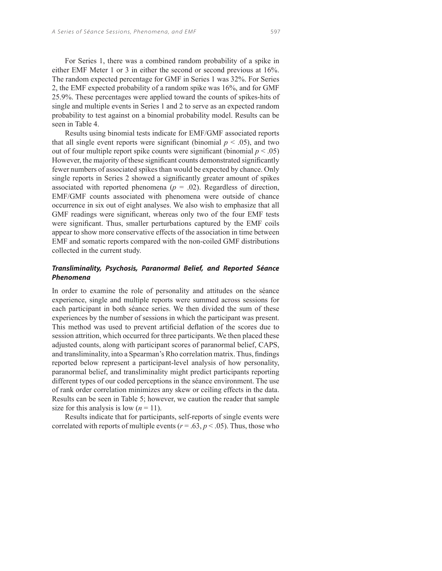For Series 1, there was a combined random probability of a spike in either EMF Meter 1 or 3 in either the second or second previous at 16%. The random expected percentage for GMF in Series 1 was 32%. For Series 2, the EMF expected probability of a random spike was 16%, and for GMF 25.9%. These percentages were applied toward the counts of spikes-hits of single and multiple events in Series 1 and 2 to serve as an expected random probability to test against on a binomial probability model. Results can be seen in Table 4.

Results using binomial tests indicate for EMF/GMF associated reports that all single event reports were significant (binomial  $p < .05$ ), and two out of four multiple report spike counts were significant (binomial  $p < .05$ ) However, the majority of these significant counts demonstrated significantly fewer numbers of associated spikes than would be expected by chance. Only single reports in Series 2 showed a significantly greater amount of spikes associated with reported phenomena ( $p = .02$ ). Regardless of direction, EMF/GMF counts associated with phenomena were outside of chance occurrence in six out of eight analyses. We also wish to emphasize that all GMF readings were significant, whereas only two of the four EMF tests were significant. Thus, smaller perturbations captured by the EMF coils appear to show more conservative effects of the association in time between EMF and somatic reports compared with the non-coiled GMF distributions collected in the current study.

# **Transliminality, Psychosis, Paranormal Belief, and Reported Séance Phenomena**

In order to examine the role of personality and attitudes on the séance experience, single and multiple reports were summed across sessions for each participant in both séance series. We then divided the sum of these experiences by the number of sessions in which the participant was present. This method was used to prevent artificial deflation of the scores due to session attrition, which occurred for three participants. We then placed these adjusted counts, along with participant scores of paranormal belief, CAPS, and transliminality, into a Spearman's Rho correlation matrix. Thus, findings reported below represent a participant-level analysis of how personality, paranormal belief, and transliminality might predict participants reporting different types of our coded perceptions in the séance environment. The use of rank order correlation minimizes any skew or ceiling effects in the data. Results can be seen in Table 5; however, we caution the reader that sample size for this analysis is low  $(n = 11)$ .

Results indicate that for participants, self-reports of single events were correlated with reports of multiple events ( $r = .63$ ,  $p < .05$ ). Thus, those who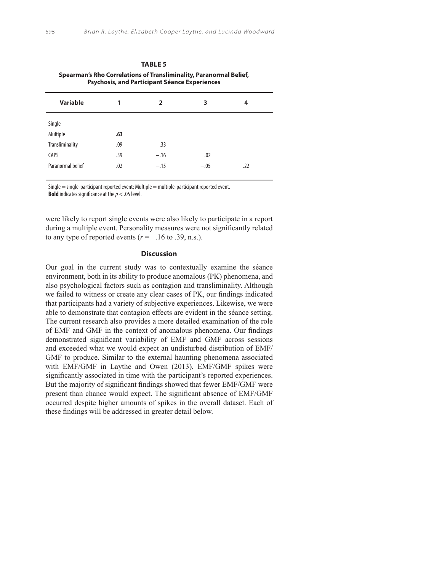|                        | Spearman's Rho Correlations of Transliminality, Paranormal Belief,<br><b>Psychosis, and Participant Séance Experiences</b> |        |        |     |
|------------------------|----------------------------------------------------------------------------------------------------------------------------|--------|--------|-----|
| Variable               | 1                                                                                                                          | 2      | 3      | 4   |
| Single                 |                                                                                                                            |        |        |     |
| Multiple               | .63                                                                                                                        |        |        |     |
| <b>Transliminality</b> | .09                                                                                                                        | .33    |        |     |
| CAPS                   | .39                                                                                                                        | $-.16$ | .02    |     |
| Paranormal belief      | .02                                                                                                                        | $-.15$ | $-.05$ | .22 |

**TABLE 5**

Single = single-participant reported event; Multiple = multiple-participant reported event. **Bold** indicates significance at the *p* < .05 level.

were likely to report single events were also likely to participate in a report during a multiple event. Personality measures were not significantly related to any type of reported events  $(r = -16$  to .39, n.s.).

## **Discussion**

Our goal in the current study was to contextually examine the séance environment, both in its ability to produce anomalous (PK) phenomena, and also psychological factors such as contagion and transliminality. Although we failed to witness or create any clear cases of PK, our findings indicated that participants had a variety of subjective experiences. Likewise, we were able to demonstrate that contagion effects are evident in the séance setting. The current research also provides a more detailed examination of the role of EMF and GMF in the context of anomalous phenomena. Our findings demonstrated significant variability of EMF and GMF across sessions and exceeded what we would expect an undisturbed distribution of EMF/ GMF to produce. Similar to the external haunting phenomena associated with EMF/GMF in Laythe and Owen (2013), EMF/GMF spikes were significantly associated in time with the participant's reported experiences. But the majority of significant findings showed that fewer EMF/GMF were present than chance would expect. The significant absence of EMF/GMF occurred despite higher amounts of spikes in the overall dataset. Each of these findings will be addressed in greater detail below.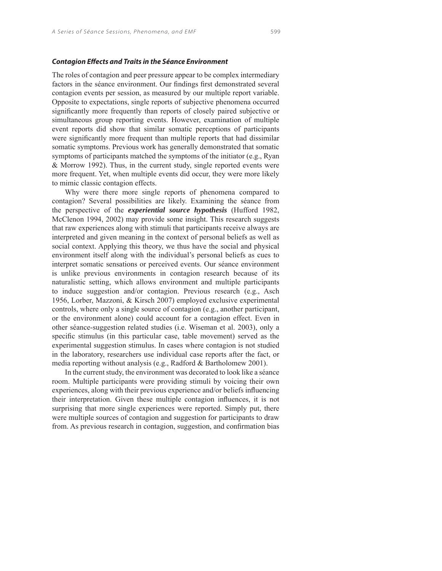#### **Contagion Effects and Traits in the Séance Environment**

The roles of contagion and peer pressure appear to be complex intermediary factors in the séance environment. Our findings first demonstrated several contagion events per session, as measured by our multiple report variable. Opposite to expectations, single reports of subjective phenomena occurred significantly more frequently than reports of closely paired subjective or simultaneous group reporting events. However, examination of multiple event reports did show that similar somatic perceptions of participants were significantly more frequent than multiple reports that had dissimilar somatic symptoms. Previous work has generally demonstrated that somatic symptoms of participants matched the symptoms of the initiator (e.g., Ryan & Morrow 1992). Thus, in the current study, single reported events were more frequent. Yet, when multiple events did occur, they were more likely to mimic classic contagion effects.

Why were there more single reports of phenomena compared to contagion? Several possibilities are likely. Examining the séance from the perspective of the *experiential source hypothesis* (Hufford 1982, McClenon 1994, 2002) may provide some insight. This research suggests that raw experiences along with stimuli that participants receive always are interpreted and given meaning in the context of personal beliefs as well as social context. Applying this theory, we thus have the social and physical environment itself along with the individual's personal beliefs as cues to interpret somatic sensations or perceived events. Our séance environment is unlike previous environments in contagion research because of its naturalistic setting, which allows environment and multiple participants to induce suggestion and/or contagion. Previous research (e.g., Asch 1956, Lorber, Mazzoni, & Kirsch 2007) employed exclusive experimental controls, where only a single source of contagion (e.g., another participant, or the environment alone) could account for a contagion effect. Even in other séance-suggestion related studies (i.e. Wiseman et al. 2003), only a specific stimulus (in this particular case, table movement) served as the experimental suggestion stimulus. In cases where contagion is not studied in the laboratory, researchers use individual case reports after the fact, or media reporting without analysis (e.g., Radford & Bartholomew 2001).

In the current study, the environment was decorated to look like a séance room. Multiple participants were providing stimuli by voicing their own experiences, along with their previous experience and/or beliefs influencing their interpretation. Given these multiple contagion influences, it is not surprising that more single experiences were reported. Simply put, there were multiple sources of contagion and suggestion for participants to draw from. As previous research in contagion, suggestion, and confirmation bias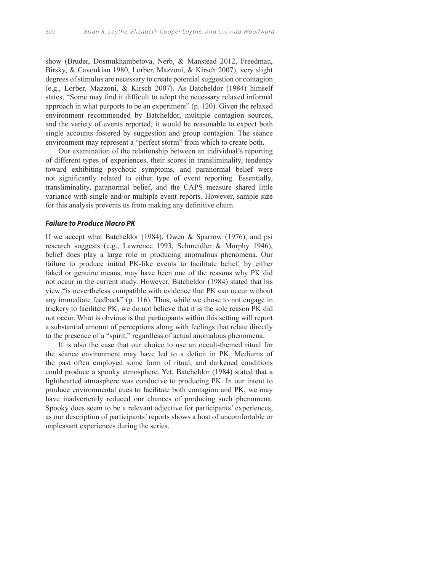show (Bruder, Dosmukhambetova, Nerb, & Manstead 2012, Freedman, Birsky, & Cavoukian 1980, Lorber, Mazzoni, & Kirsch 2007), very slight degrees of stimulus are necessary to create potential suggestion or contagion (e.g., Lorber, Mazzoni, & Kirsch 2007). As Batcheldor (1984) himself states, "Some may find it difficult to adopt the necessary relaxed informal approach in what purports to be an experiment" (p. 120). Given the relaxed environment recommended by Batcheldor, multiple contagion sources, and the variety of events reported, it would be reasonable to expect both single accounts fostered by suggestion and group contagion. The séance environment may represent a "perfect storm" from which to create both.

Our examination of the relationship between an individual's reporting of different types of experiences, their scores in transliminality, tendency toward exhibiting psychotic symptoms, and paranormal belief were not significantly related to either type of event reporting. Essentially, transliminality, paranormal belief, and the CAPS measure shared little variance with single and/or multiple event reports. However, sample size for this analysis prevents us from making any definitive claim.

#### **Failure to Produce Macro PK**

If we accept what Batcheldor (1984), Owen & Sparrow (1976), and psi research suggests (e.g., Lawrence 1993, Schmeidler & Murphy 1946), belief does play a large role in producing anomalous phenomena. Our failure to produce initial PK-like events to facilitate belief, by either faked or genuine means, may have been one of the reasons why PK did not occur in the current study. However, Batcheldor (1984) stated that his view "is nevertheless compatible with evidence that PK can occur without any immediate feedback" (p. 116). Thus, while we chose to not engage in trickery to facilitate PK, we do not believe that it is the sole reason PK did not occur. What is obvious is that participants within this setting will report a substantial amount of perceptions along with feelings that relate directly to the presence of a "spirit," regardless of actual anomalous phenomena.

It is also the case that our choice to use an occult-themed ritual for the séance environment may have led to a deficit in PK. Mediums of the past often employed some form of ritual, and darkened conditions could produce a spooky atmosphere. Yet, Batcheldor (1984) stated that a lighthearted atmosphere was conducive to producing PK. In our intent to produce environmental cues to facilitate both contagion and PK, we may have inadvertently reduced our chances of producing such phenomena. Spooky does seem to be a relevant adjective for participants' experiences, as our description of participants' reports shows a host of uncomfortable or unpleasant experiences during the series.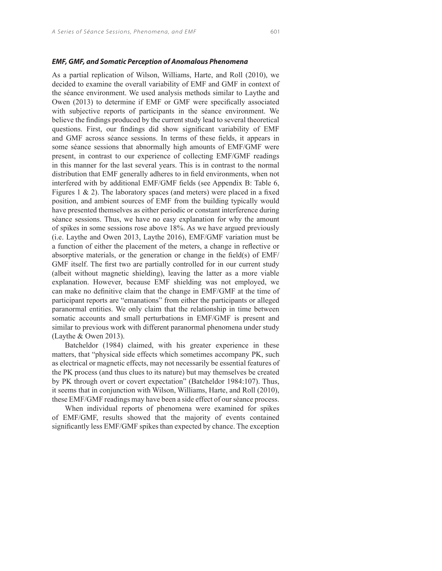#### **EMF, GMF, and Somatic Perception of Anomalous Phenomena**

As a partial replication of Wilson, Williams, Harte, and Roll (2010), we decided to examine the overall variability of EMF and GMF in context of the séance environment. We used analysis methods similar to Laythe and Owen (2013) to determine if EMF or GMF were specifically associated with subjective reports of participants in the séance environment. We believe the findings produced by the current study lead to several theoretical questions. First, our findings did show significant variability of EMF and GMF across séance sessions. In terms of these fields, it appears in some séance sessions that abnormally high amounts of EMF/GMF were present, in contrast to our experience of collecting EMF/GMF readings in this manner for the last several years. This is in contrast to the normal distribution that EMF generally adheres to in field environments, when not interfered with by additional EMF/GMF fields (see Appendix B: Table 6, Figures 1  $\&$  2). The laboratory spaces (and meters) were placed in a fixed position, and ambient sources of EMF from the building typically would have presented themselves as either periodic or constant interference during séance sessions. Thus, we have no easy explanation for why the amount of spikes in some sessions rose above 18%. As we have argued previously (i.e. Laythe and Owen 2013, Laythe 2016), EMF/GMF variation must be a function of either the placement of the meters, a change in reflective or absorptive materials, or the generation or change in the field(s) of  $EMF$ / GMF itself. The first two are partially controlled for in our current study (albeit without magnetic shielding), leaving the latter as a more viable explanation. However, because EMF shielding was not employed, we can make no definitive claim that the change in EMF/GMF at the time of participant reports are "emanations" from either the participants or alleged paranormal entities. We only claim that the relationship in time between somatic accounts and small perturbations in EMF/GMF is present and similar to previous work with different paranormal phenomena under study (Laythe & Owen 2013).

Batcheldor (1984) claimed, with his greater experience in these matters, that "physical side effects which sometimes accompany PK, such as electrical or magnetic effects, may not necessarily be essential features of the PK process (and thus clues to its nature) but may themselves be created by PK through overt or covert expectation" (Batcheldor 1984:107). Thus, it seems that in conjunction with Wilson, Williams, Harte, and Roll (2010), these EMF/GMF readings may have been a side effect of our séance process.

When individual reports of phenomena were examined for spikes of EMF/GMF, results showed that the majority of events contained significantly less EMF/GMF spikes than expected by chance. The exception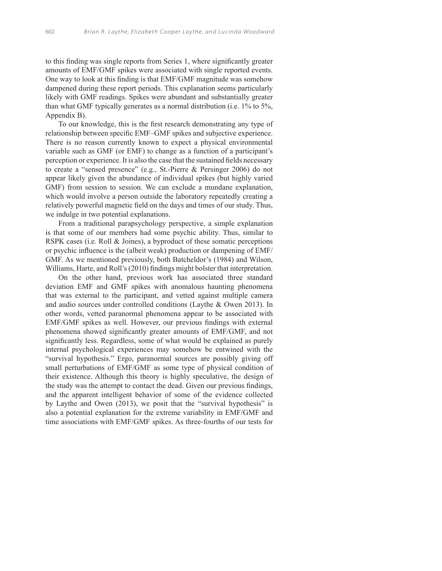to this finding was single reports from Series 1, where significantly greater amounts of EMF/GMF spikes were associated with single reported events. One way to look at this finding is that EMF/GMF magnitude was somehow dampened during these report periods. This explanation seems particularly likely with GMF readings. Spikes were abundant and substantially greater than what GMF typically generates as a normal distribution (i.e. 1% to 5%, Appendix B).

To our knowledge, this is the first research demonstrating any type of relationship between specific EMF–GMF spikes and subjective experience. There is no reason currently known to expect a physical environmental variable such as GMF (or EMF) to change as a function of a participant's perception or experience. It is also the case that the sustained fields necessary to create a "sensed presence" (e.g., St.-Pierre & Persinger 2006) do not appear likely given the abundance of individual spikes (but highly varied GMF) from session to session. We can exclude a mundane explanation, which would involve a person outside the laboratory repeatedly creating a relatively powerful magnetic field on the days and times of our study. Thus, we indulge in two potential explanations.

From a traditional parapsychology perspective, a simple explanation is that some of our members had some psychic ability. Thus, similar to RSPK cases (i.e. Roll & Joines), a byproduct of these somatic perceptions or psychic influence is the (albeit weak) production or dampening of EMF/ GMF. As we mentioned previously, both Batcheldor's (1984) and Wilson, Williams, Harte, and Roll's (2010) findings might bolster that interpretation.

On the other hand, previous work has associated three standard deviation EMF and GMF spikes with anomalous haunting phenomena that was external to the participant, and vetted against multiple camera and audio sources under controlled conditions (Laythe & Owen 2013). In other words, vetted paranormal phenomena appear to be associated with EMF/GMF spikes as well. However, our previous findings with external phenomena showed significantly greater amounts of EMF/GMF, and not significantly less. Regardless, some of what would be explained as purely internal psychological experiences may somehow be entwined with the "survival hypothesis." Ergo, paranormal sources are possibly giving off small perturbations of EMF/GMF as some type of physical condition of their existence. Although this theory is highly speculative, the design of the study was the attempt to contact the dead. Given our previous findings, and the apparent intelligent behavior of some of the evidence collected by Laythe and Owen (2013), we posit that the "survival hypothesis" is also a potential explanation for the extreme variability in EMF/GMF and time associations with EMF/GMF spikes. As three-fourths of our tests for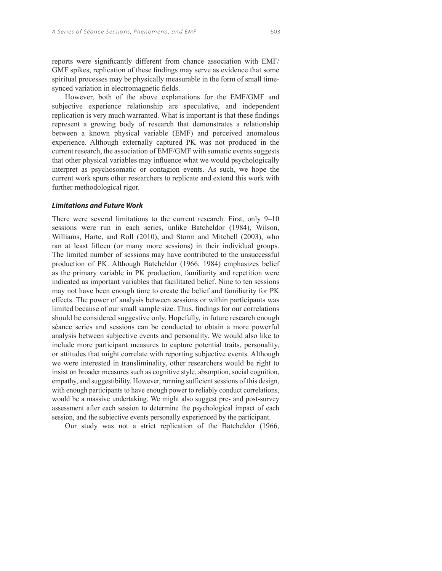reports were significantly different from chance association with EMF/ GMF spikes, replication of these findings may serve as evidence that some spiritual processes may be physically measurable in the form of small timesynced variation in electromagnetic fields.

However, both of the above explanations for the EMF/GMF and subjective experience relationship are speculative, and independent replication is very much warranted. What is important is that these findings represent a growing body of research that demonstrates a relationship between a known physical variable (EMF) and perceived anomalous experience. Although externally captured PK was not produced in the current research, the association of EMF/GMF with somatic events suggests that other physical variables may influence what we would psychologically interpret as psychosomatic or contagion events. As such, we hope the current work spurs other researchers to replicate and extend this work with further methodological rigor.

#### **Limitations and Future Work**

There were several limitations to the current research. First, only 9–10 sessions were run in each series, unlike Batcheldor (1984), Wilson, Williams, Harte, and Roll (2010), and Storm and Mitchell (2003), who ran at least fifteen (or many more sessions) in their individual groups. The limited number of sessions may have contributed to the unsuccessful production of PK. Although Batcheldor (1966, 1984) emphasizes belief as the primary variable in PK production, familiarity and repetition were indicated as important variables that facilitated belief. Nine to ten sessions may not have been enough time to create the belief and familiarity for PK effects. The power of analysis between sessions or within participants was limited because of our small sample size. Thus, findings for our correlations should be considered suggestive only. Hopefully, in future research enough séance series and sessions can be conducted to obtain a more powerful analysis between subjective events and personality. We would also like to include more participant measures to capture potential traits, personality, or attitudes that might correlate with reporting subjective events. Although we were interested in transliminality, other researchers would be right to insist on broader measures such as cognitive style, absorption, social cognition, empathy, and suggestibility. However, running sufficient sessions of this design, with enough participants to have enough power to reliably conduct correlations, would be a massive undertaking. We might also suggest pre- and post-survey assessment after each session to determine the psychological impact of each session, and the subjective events personally experienced by the participant.

Our study was not a strict replication of the Batcheldor (1966,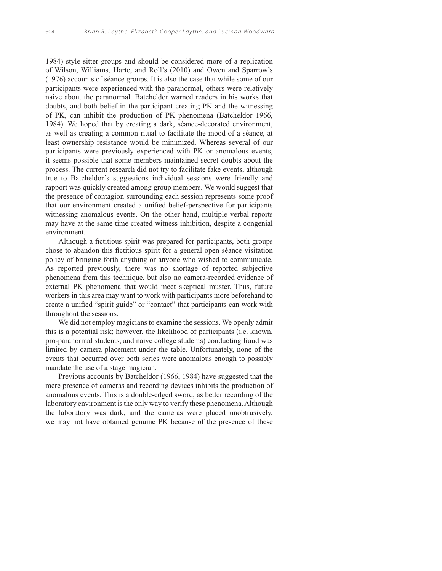1984) style sitter groups and should be considered more of a replication of Wilson, Williams, Harte, and Roll's (2010) and Owen and Sparrow's (1976) accounts of séance groups. It is also the case that while some of our participants were experienced with the paranormal, others were relatively naive about the paranormal. Batcheldor warned readers in his works that doubts, and both belief in the participant creating PK and the witnessing of PK, can inhibit the production of PK phenomena (Batcheldor 1966, 1984). We hoped that by creating a dark, séance-decorated environment, as well as creating a common ritual to facilitate the mood of a séance, at least ownership resistance would be minimized. Whereas several of our participants were previously experienced with PK or anomalous events, it seems possible that some members maintained secret doubts about the process. The current research did not try to facilitate fake events, although true to Batcheldor's suggestions individual sessions were friendly and rapport was quickly created among group members. We would suggest that the presence of contagion surrounding each session represents some proof that our environment created a unified belief-perspective for participants witnessing anomalous events. On the other hand, multiple verbal reports may have at the same time created witness inhibition, despite a congenial environment.

Although a fictitious spirit was prepared for participants, both groups chose to abandon this fictitious spirit for a general open séance visitation policy of bringing forth anything or anyone who wished to communicate. As reported previously, there was no shortage of reported subjective phenomena from this technique, but also no camera-recorded evidence of external PK phenomena that would meet skeptical muster. Thus, future workers in this area may want to work with participants more beforehand to create a unified "spirit guide" or "contact" that participants can work with throughout the sessions.

We did not employ magicians to examine the sessions. We openly admit this is a potential risk; however, the likelihood of participants (i.e. known, pro-paranormal students, and naive college students) conducting fraud was limited by camera placement under the table. Unfortunately, none of the events that occurred over both series were anomalous enough to possibly mandate the use of a stage magician.

Previous accounts by Batcheldor (1966, 1984) have suggested that the mere presence of cameras and recording devices inhibits the production of anomalous events. This is a double-edged sword, as better recording of the laboratory environment is the only way to verify these phenomena. Although the laboratory was dark, and the cameras were placed unobtrusively, we may not have obtained genuine PK because of the presence of these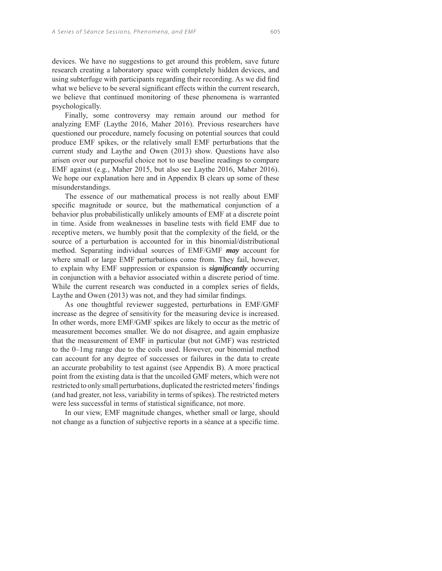devices. We have no suggestions to get around this problem, save future research creating a laboratory space with completely hidden devices, and using subterfuge with participants regarding their recording. As we did find what we believe to be several significant effects within the current research, we believe that continued monitoring of these phenomena is warranted psychologically.

Finally, some controversy may remain around our method for analyzing EMF (Laythe 2016, Maher 2016). Previous researchers have questioned our procedure, namely focusing on potential sources that could produce EMF spikes, or the relatively small EMF perturbations that the current study and Laythe and Owen (2013) show. Questions have also arisen over our purposeful choice not to use baseline readings to compare EMF against (e.g., Maher 2015, but also see Laythe 2016, Maher 2016). We hope our explanation here and in Appendix B clears up some of these misunderstandings.

The essence of our mathematical process is not really about EMF specific magnitude or source, but the mathematical conjunction of a behavior plus probabilistically unlikely amounts of EMF at a discrete point in time. Aside from weaknesses in baseline tests with field EMF due to receptive meters, we humbly posit that the complexity of the field, or the source of a perturbation is accounted for in this binomial/distributional method. Separating individual sources of EMF/GMF *may* account for where small or large EMF perturbations come from. They fail, however, to explain why EMF suppression or expansion is *significantly* occurring in conjunction with a behavior associated within a discrete period of time. While the current research was conducted in a complex series of fields, Laythe and Owen (2013) was not, and they had similar findings.

As one thoughtful reviewer suggested, perturbations in EMF/GMF increase as the degree of sensitivity for the measuring device is increased. In other words, more EMF/GMF spikes are likely to occur as the metric of measurement becomes smaller. We do not disagree, and again emphasize that the measurement of EMF in particular (but not GMF) was restricted to the 0–1mg range due to the coils used. However, our binomial method can account for any degree of successes or failures in the data to create an accurate probability to test against (see Appendix B). A more practical point from the existing data is that the uncoiled GMF meters, which were not restricted to only small perturbations, duplicated the restricted meters' findings (and had greater, not less, variability in terms of spikes). The restricted meters were less successful in terms of statistical significance, not more.

In our view, EMF magnitude changes, whether small or large, should not change as a function of subjective reports in a séance at a specific time.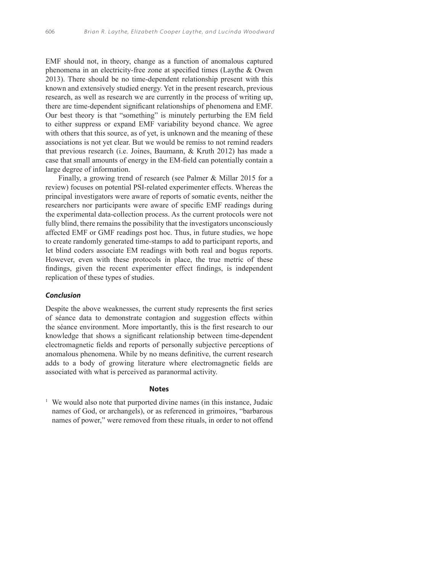EMF should not, in theory, change as a function of anomalous captured phenomena in an electricity-free zone at specified times (Laythe  $&$  Owen 2013). There should be no time-dependent relationship present with this known and extensively studied energy. Yet in the present research, previous research, as well as research we are currently in the process of writing up, there are time-dependent significant relationships of phenomena and EMF. Our best theory is that "something" is minutely perturbing the EM field to either suppress or expand EMF variability beyond chance. We agree with others that this source, as of yet, is unknown and the meaning of these associations is not yet clear. But we would be remiss to not remind readers that previous research (i.e. Joines, Baumann, & Kruth 2012) has made a case that small amounts of energy in the EM-field can potentially contain a large degree of information.

Finally, a growing trend of research (see Palmer & Millar 2015 for a review) focuses on potential PSI-related experimenter effects. Whereas the principal investigators were aware of reports of somatic events, neither the researchers nor participants were aware of specific EMF readings during the experimental data-collection process. As the current protocols were not fully blind, there remains the possibility that the investigators unconsciously affected EMF or GMF readings post hoc. Thus, in future studies, we hope to create randomly generated time-stamps to add to participant reports, and let blind coders associate EM readings with both real and bogus reports. However, even with these protocols in place, the true metric of these findings, given the recent experimenter effect findings, is independent replication of these types of studies.

#### **Conclusion**

Despite the above weaknesses, the current study represents the first series of séance data to demonstrate contagion and suggestion effects within the séance environment. More importantly, this is the first research to our knowledge that shows a significant relationship between time-dependent electromagnetic fields and reports of personally subjective perceptions of anomalous phenomena. While by no means definitive, the current research adds to a body of growing literature where electromagnetic fields are associated with what is perceived as paranormal activity.

## **Notes**

<sup>1</sup> We would also note that purported divine names (in this instance, Judaic names of God, or archangels), or as referenced in grimoires, "barbarous names of power," were removed from these rituals, in order to not offend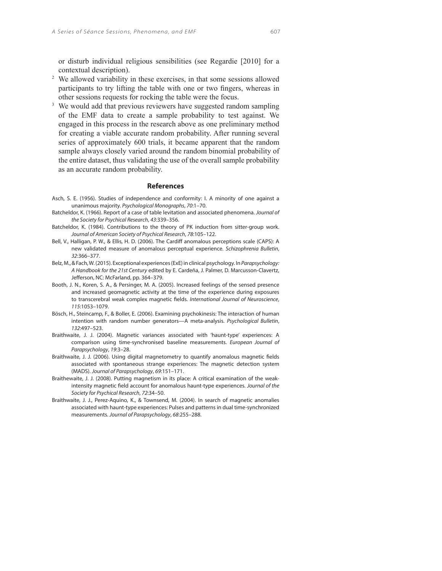or disturb individual religious sensibilities (see Regardie [2010] for a contextual description).

- <sup>2</sup> We allowed variability in these exercises, in that some sessions allowed participants to try lifting the table with one or two fingers, whereas in other sessions requests for rocking the table were the focus.
- <sup>3</sup> We would add that previous reviewers have suggested random sampling of the EMF data to create a sample probability to test against. We engaged in this process in the research above as one preliminary method for creating a viable accurate random probability. After running several series of approximately 600 trials, it became apparent that the random sample always closely varied around the random binomial probability of the entire dataset, thus validating the use of the overall sample probability as an accurate random probability.

#### **References**

- Asch, S. E. (1956). Studies of independence and conformity: I. A minority of one against a unanimous majority. Psychological Monographs, 70:1–70.
- Batcheldor, K. (1966). Report of a case of table levitation and associated phenomena. Journal of the Society for Psychical Research, 43:339–356.
- Batcheldor, K. (1984). Contributions to the theory of PK induction from sitter-group work. Journal of American Society of Psychical Research, 78:105–122.
- Bell, V., Halligan, P. W., & Ellis, H. D. (2006). The Cardiff anomalous perceptions scale (CAPS): A new validated measure of anomalous perceptual experience. Schizophrenia Bulletin, 32:366–377.
- Belz, M., & Fach, W. (2015). Exceptional experiences (ExE) in clinical psychology. In Parapsychology: A Handbook for the 21st Century edited by E. Cardeña, J. Palmer, D. Marcusson-Clavertz, Jefferson, NC: McFarland, pp. 364-379.
- Booth, J. N., Koren, S. A., & Persinger, M. A. (2005). Increased feelings of the sensed presence and increased geomagnetic activity at the time of the experience during exposures to transcerebral weak complex magnetic fields. International Journal of Neuroscience, 115:1053–1079.
- Bösch, H., Steincamp, F., & Boller, E. (2006). Examining psychokinesis: The interaction of human intention with random number generators—A meta-analysis. Psychological Bulletin, 132:497–523.
- Braithwaite, J. J. (2004). Magnetic variances associated with 'haunt-type' experiences: A comparison using time-synchronised baseline measurements. European Journal of Parapsychology, 19:3–28.
- Braithwaite, J. J. (2006). Using digital magnetometry to quantify anomalous magnetic fields associated with spontaneous strange experiences: The magnetic detection system (MADS). Journal of Parapsychology, 69:151–171.
- Braithewaite, J. J. (2008). Putting magnetism in its place: A critical examination of the weakintensity magnetic field account for anomalous haunt-type experiences. Journal of the Society for Psychical Research, 72:34–50.
- Braithwaite, J. J., Perez-Aquino, K., & Townsend, M. (2004). In search of magnetic anomalies associated with haunt-type experiences: Pulses and patterns in dual time-synchronized measurements. Journal of Parapsychology, 68:255–288.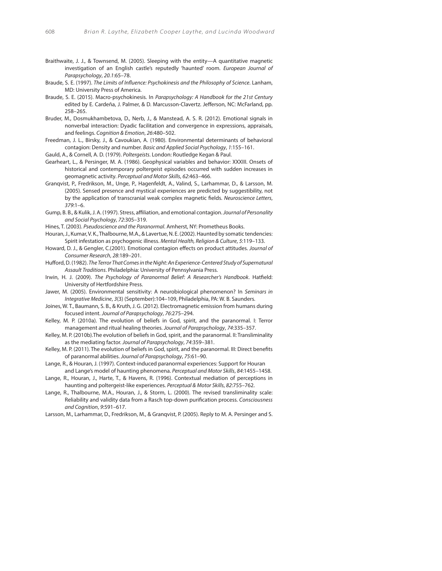- Braithwaite, J. J., & Townsend, M. (2005). Sleeping with the entity—A quantitative magnetic investigation of an English castle's reputedly 'haunted' room. European Journal of Parapsychology, 20.1:65–78.
- Braude, S. E. (1997). The Limits of Influence: Psychokinesis and the Philosophy of Science. Lanham, MD: University Press of America.
- Braude, S. E. (2015). Macro-psychokinesis. In Parapsychology: A Handbook for the 21st Century edited by E. Cardeña, J. Palmer, & D. Marcusson-Clavertz. Jefferson, NC: McFarland, pp. 258–265.
- Bruder, M., Dosmukhambetova, D., Nerb, J., & Manstead, A. S. R. (2012). Emotional signals in nonverbal interaction: Dyadic facilitation and convergence in expressions, appraisals, and feelings. Cognition & Emotion, 26:480–502.
- Freedman, J. L., Birsky, J., & Cavoukian, A. (1980). Environmental determinants of behavioral contagion: Density and number. Basic and Applied Social Psychology, 1:155–161.

Gauld, A., & Cornell, A. D. (1979). Poltergeists. London: Routledge Kegan & Paul.

- Gearheart, L., & Persinger, M. A. (1986). Geophysical variables and behavior: XXXIII. Onsets of historical and contemporary poltergeist episodes occurred with sudden increases in geomagnetic activity. Perceptual and Motor Skills, 62:463–466.
- Granqvist, P., Fredrikson, M., Unge, P., Hagenfeldt, A., Valind, S., Larhammar, D., & Larsson, M. (2005). Sensed presence and mystical experiences are predicted by suggestibility, not by the application of transcranial weak complex magnetic fields. Neuroscience Letters, 379:1–6.
- Gump, B. B., & Kulik, J. A. (1997). Stress, affiliation, and emotional contagion. Journal of Personality and Social Psychology, 72:305–319.
- Hines, T. (2003). Pseudoscience and the Paranormal. Amherst, NY: Prometheus Books.
- Houran, J., Kumar, V. K., Thalbourne, M.A., & Lavertue, N. E. (2002). Haunted by somatic tendencies: Spirit infestation as psychogenic illness. Mental Health, Religion & Culture, 5:119–133.
- Howard, D. J., & Gengler, C.(2001). Emotional contagion effects on product attitudes. Journal of Consumer Research, 28:189–201.
- Hufford, D. (1982). The Terror That Comes in the Night: An Experience-Centered Study of Supernatural Assault Traditions. Philadelphia: University of Pennsylvania Press.
- Irwin, H. J. (2009). The Psychology of Paranormal Belief: A Researcher's Handbook. Hatfield: University of Hertfordshire Press.
- Jawer, M. (2005). Environmental sensitivity: A neurobiological phenomenon? In Seminars in Integrative Medicine, 3(3) (September):104–109, Philadelphia, PA: W. B. Saunders.
- Joines, W. T., Baumann, S. B., & Kruth, J. G. (2012). Electromagnetic emission from humans during focused intent. Journal of Parapsychology, 76:275–294.
- Kelley, M. P. (2010a). The evolution of beliefs in God, spirit, and the paranormal. I: Terror management and ritual healing theories. Journal of Parapsychology, 74:335–357.
- Kelley, M. P. (2010b).The evolution of beliefs in God, spirit, and the paranormal. II: Transliminality as the mediating factor. Journal of Parapsychology, 74:359–381.
- Kelley, M. P. (2011). The evolution of beliefs in God, spirit, and the paranormal. III: Direct benefits of paranormal abilities. Journal of Parapsychology, 75:61–90.
- Lange, R., & Houran, J. (1997). Context-induced paranormal experiences: Support for Houran and Lange's model of haunting phenomena. Perceptual and Motor Skills, 84:1455–1458.
- Lange, R., Houran, J., Harte, T., & Havens, R. (1996). Contextual mediation of perceptions in haunting and poltergeist-like experiences. Perceptual & Motor Skills, 82:755–762.
- Lange, R., Thalbourne, M.A., Houran, J., & Storm, L. (2000). The revised transliminality scale: Reliability and validity data from a Rasch top-down purification process. Consciousness and Cognition, 9:591–617.
- Larsson, M., Larhammar, D., Fredrikson, M., & Granqvist, P. (2005). Reply to M. A. Persinger and S.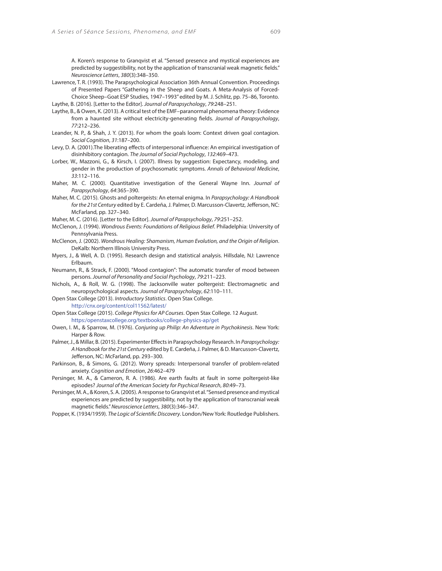A. Koren's response to Granqvist et al. "Sensed presence and mystical experiences are predicted by suggestibility, not by the application of transcranial weak magnetic fields." Neuroscience Letters, 380(3):348–350.

- Lawrence, T. R. (1993). The Parapsychological Association 36th Annual Convention. Proceedings of Presented Papers "Gathering in the Sheep and Goats. A Meta-Analysis of Forced-Choice Sheep–Goat ESP Studies, 1947–1993" edited by M. J. Schlitz, pp. 75–86, Toronto. Laythe, B. (2016). [Letter to the Editor]. Journal of Parapsychology, 79:248–251.
- Laythe, B., & Owen, K. (2013). A critical test of the EMF–paranormal phenomena theory: Evidence from a haunted site without electricity-generating fields. Journal of Parapsychology, 77:212–236.
- Leander, N. P., & Shah, J. Y. (2013). For whom the goals loom: Context driven goal contagion. Social Cognition, 31:187–200.
- Levy, D. A. (2001). The liberating effects of interpersonal influence: An empirical investigation of disinhibitory contagion. The Journal of Social Psychology, 132:469–473.
- Lorber, W., Mazzoni, G., & Kirsch, I. (2007). Illness by suggestion: Expectancy, modeling, and gender in the production of psychosomatic symptoms. Annals of Behavioral Medicine, 33:112–116.
- Maher, M. C. (2000). Quantitative investigation of the General Wayne Inn. Journal of Parapsychology, 64:365–390.
- Maher, M. C. (2015). Ghosts and poltergeists: An eternal enigma. In Parapsychology: A Handbook for the 21st Century edited by E. Cardeña, J. Palmer, D. Marcusson-Clavertz, Jefferson, NC: McFarland, pp. 327–340.
- Maher, M. C. (2016). [Letter to the Editor]. Journal of Parapsychology, 79:251–252.
- McClenon, J. (1994). Wondrous Events: Foundations of Religious Belief. Philadelphia: University of Pennsylvania Press.
- McClenon, J. (2002). Wondrous Healing: Shamanism, Human Evolution, and the Origin of Religion. DeKalb: Northern Illinois University Press.
- Myers, J., & Well, A. D. (1995). Research design and statistical analysis. Hillsdale, NJ: Lawrence Erlbaum.
- Neumann, R., & Strack, F. (2000). "Mood contagion": The automatic transfer of mood between persons. Journal of Personality and Social Psychology, 79:211–223.
- Nichols, A., & Roll, W. G. (1998). The Jacksonville water poltergeist: Electromagnetic and neuropsychological aspects. Journal of Parapsychology, 62:110–111.
- Open Stax College (2013). Introductory Statistics. Open Stax College. http://cnx.org/content/col11562/latest/
- Open Stax College (2015). College Physics for AP Courses. Open Stax College. 12 August. https:/openstaxcollege.org/textbooks/college-physics-ap/get
- Owen, I. M., & Sparrow, M. (1976). Conjuring up Philip: An Adventure in Psychokinesis. New York: Harper & Row.
- Palmer, J., & Millar, B. (2015). Experimenter Effects in Parapsychology Research. In Parapsychology: A Handbook for the 21st Century edited by E. Cardeña, J. Palmer, & D. Marcusson-Clavertz, Jefferson, NC: McFarland, pp. 293-300.
- Parkinson, B., & Simons, G. (2012). Worry spreads: Interpersonal transfer of problem-related anxiety. Cognition and Emotion, 26:462–479
- Persinger, M. A., & Cameron, R. A. (1986). Are earth faults at fault in some poltergeist-like episodes? Journal of the American Society for Psychical Research, 80:49–73.
- Persinger, M. A., & Koren, S. A. (2005). A response to Granqvist et al. "Sensed presence and mystical experiences are predicted by suggestibility, not by the application of transcranial weak magnetic fields." Neuroscience Letters, 380(3):346-347.
- Popper, K. (1934/1959). The Logic of Scientific Discovery. London/New York: Routledge Publishers.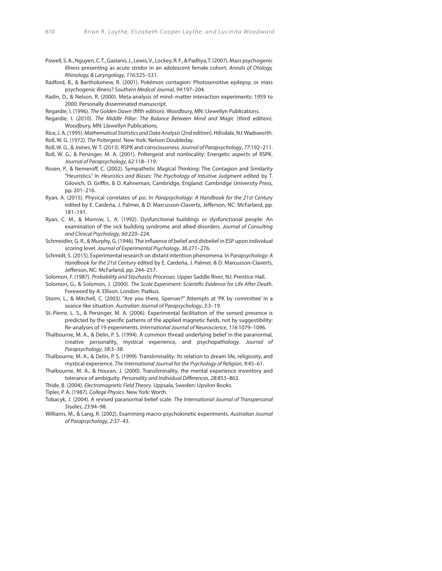- Powell, S. A., Nguyen, C. T., Gaziano, J., Lewis, V., Lockey, R. F., & Padhya, T. (2007). Mass psychogenic illness presenting as acute stridor in an adolescent female cohort. Annals of Otology, Rhinology, & Laryngology, 116:525–531.
- Radford, B., & Bartholomew, R. (2001). Pokémon contagion: Photosensitive epilepsy, or mass psychogenic illness? Southern Medical Journal, 94:197–204.
- Radin, D., & Nelson, R. (2000). Meta-analysis of mind–matter interaction experiments: 1959 to 2000. Personally disseminated manuscript.
- Regardie, I. (1996). The Golden Dawn (fifth edition). Woodbury, MN: Llewellyn Publications.
- Regardie, I. (2010). The Middle Pillar: The Balance Between Mind and Magic (third edition). Woodbury, MN: Llewellyn Publications.

Rice, J. A. (1995). Mathematical Statistics and Data Analysis (2nd edition). Hillsdale, NJ: Wadsworth. Roll, W. G. (1972). The Poltergeist. New York: Nelson Doubleday.

- Roll, W. G., & Joines, W. T. (2013). RSPK and consciousness. Journal of Parapsychology, 77:192–211.
- Roll, W. G., & Persinger, M. A. (2001). Poltergeist and nonlocality: Energetic aspects of RSPK. Journal of Parapsychology, 62:118–119.
- Rosen, P., & Nemeroff, C. (2002). Sympathetic Magical Thinking: The Contagion and Similarity "Heuristics." In Heuristics and Biases: The Psychology of Intuitive Judgment edited by T. Gilovich, D. Griffin, & D. Kahneman, Cambridge, England: Cambridge University Press, pp. 201–216.
- Ryan, A. (2015). Physical correlates of psi. In Parapsychology: A Handbook for the 21st Century edited by E. Cardeña, J. Palmer, & D. Marcusson-Clavertz, Jefferson, NC: McFarland, pp. 181–191.
- Ryan, C. M., & Morrow, L. A. (1992). Dysfunctional buildings or dysfunctional people: An examination of the sick building syndrome and allied disorders. Journal of Consulting and Clinical Psychology, 60:220–224.
- Schmeidler, G. R., & Murphy, G. (1946). The influence of belief and disbelief in ESP upon individual scoring level. Journal of Experimental Psychology, 36:271–276.
- Schmidt, S. (2015). Experimental research on distant intention phenomena. In Parapsychology: A Handbook for the 21st Century edited by E. Cardeña, J. Palmer, & D. Marcusson-Claverts, Jefferson, NC: McFarland, pp. 244-257.
- Solomon, F. (1987). Probability and Stochastic Processes. Upper Saddle River, NJ: Prentice-Hall.

Solomon, G., & Solomon, J. (2000). The Scole Experiment: Scientific Evidence for Life After Death. Foreword by A. Ellison. London: Piatkus.

- Storm, L., & Mitchell, C. (2003). "Are you there, Spenser?" Attempts at 'PK by committee' in a seance like situation. Australian Journal of Parapsychology, 3:3–19.
- St.-Pierre, L. S., & Persinger, M. A. (2006). Experimental facilitation of the sensed presence is predicted by the specific patterns of the applied magnetic fields, not by suggestibility: Re-analyses of 19 experiments. International Journal of Neuroscience, 116:1079–1096.
- Thalbourne, M. A., & Delin, P. S. (1994). A common thread underlying belief in the paranormal, creative personality, mystical experience, and psychopathology. Journal of Parapsychology, 58:3–38.
- Thalbourne, M. A., & Delin, P. S. (1999). Transliminality: Its relation to dream life, religiosity, and mystical experience. The International Journal for the Psychology of Religion, 9:45–61.
- Thalbourne, M. A., & Houran, J. (2000). Transliminality, the mental experience inventory and tolerance of ambiguity. Personality and Individual Differences, 28:853-863.
- Thide, B. (2004). Electromagnetic Field Theory. Uppsala, Sweden: Upsilon Books.
- Tipler, P. A. (1987). College Physics. New York: Worth.

Tobacyk, J. (2004). A revised paranormal belief scale. The International Journal of Transpersonal Studies, 23:94–98.

Williams, M., & Lang, R. (2002). Examining macro-psychokinetic experiments. Australian Journal of Parapsychology, 2:37–43.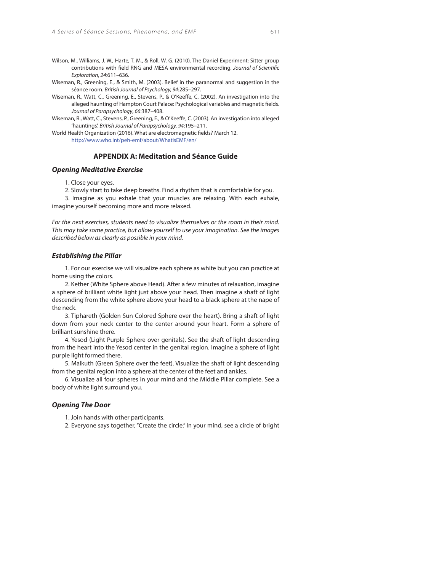- Wilson, M., Williams, J. W., Harte, T. M., & Roll, W. G. (2010). The Daniel Experiment: Sitter group contributions with field RNG and MESA environmental recording. Journal of Scientific Exploration, 24:611–636.
- Wiseman, R., Greening, E., & Smith, M. (2003). Belief in the paranormal and suggestion in the séance room. British Journal of Psychology, 94:285–297.
- Wiseman, R., Watt, C., Greening, E., Stevens, P., & O'Keeffe, C. (2002). An investigation into the alleged haunting of Hampton Court Palace: Psychological variables and magnetic fields. Journal of Parapsychology, 66:387–408.
- Wiseman, R., Watt, C., Stevens, P., Greening, E., & O'Keeffe, C. (2003). An investigation into alleged 'hauntings'. British Journal of Parapsychology, 94:195–211.
- World Health Organization (2016). What are electromagnetic fields? March 12. http://www.who.int/peh-emf/about/WhatisEMF/en/

## **APPENDIX A: Meditation and Séance Guide**

#### **Opening Meditative Exercise**

1. Close your eyes.

2. Slowly start to take deep breaths. Find a rhythm that is comfortable for you.

3. Imagine as you exhale that your muscles are relaxing. With each exhale, imagine yourself becoming more and more relaxed.

For the next exercises, students need to visualize themselves or the room in their mind. This may take some practice, but allow yourself to use your imagination. See the images described below as clearly as possible in your mind.

#### **Establishing the Pillar**

1. For our exercise we will visualize each sphere as white but you can practice at home using the colors.

2. Kether (White Sphere above Head). After a few minutes of relaxation, imagine a sphere of brilliant white light just above your head. Then imagine a shaft of light descending from the white sphere above your head to a black sphere at the nape of the neck.

3. Tiphareth (Golden Sun Colored Sphere over the heart). Bring a shaft of light down from your neck center to the center around your heart. Form a sphere of brilliant sunshine there.

4. Yesod (Light Purple Sphere over genitals). See the shaft of light descending from the heart into the Yesod center in the genital region. Imagine a sphere of light purple light formed there.

5. Malkuth (Green Sphere over the feet). Visualize the shaft of light descending from the genital region into a sphere at the center of the feet and ankles.

6. Visualize all four spheres in your mind and the Middle Pillar complete. See a body of white light surround you.

#### **Opening The Door**

1. Join hands with other participants.

2. Everyone says together, "Create the circle." In your mind, see a circle of bright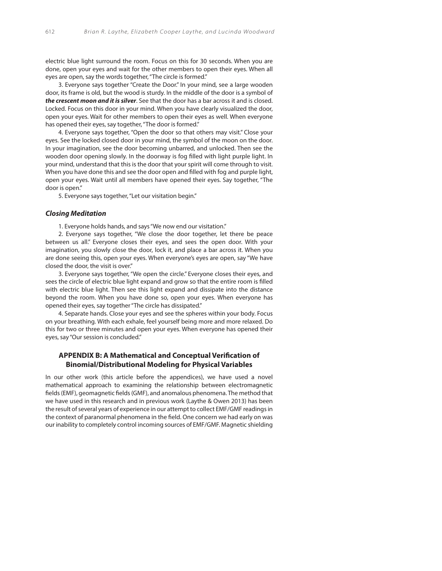electric blue light surround the room. Focus on this for 30 seconds. When you are done, open your eyes and wait for the other members to open their eyes. When all eyes are open, say the words together, "The circle is formed."

3. Everyone says together "Create the Door." In your mind, see a large wooden door, its frame is old, but the wood is sturdy. In the middle of the door is a symbol of **the crescent moon and it is silver**. See that the door has a bar across it and is closed. Locked. Focus on this door in your mind. When you have clearly visualized the door, open your eyes. Wait for other members to open their eyes as well. When everyone has opened their eyes, say together, "The door is formed."

4. Everyone says together, "Open the door so that others may visit." Close your eyes. See the locked closed door in your mind, the symbol of the moon on the door. In your imagination, see the door becoming unbarred, and unlocked. Then see the wooden door opening slowly. In the doorway is fog filled with light purple light. In your mind, understand that this is the door that your spirit will come through to visit. When you have done this and see the door open and filled with fog and purple light, open your eyes. Wait until all members have opened their eyes. Say together, "The door is open."

5. Everyone says together, "Let our visitation begin."

#### **Closing Meditation**

1. Everyone holds hands, and says "We now end our visitation."

2. Everyone says together, "We close the door together, let there be peace between us all." Everyone closes their eyes, and sees the open door. With your imagination, you slowly close the door, lock it, and place a bar across it. When you are done seeing this, open your eyes. When everyone's eyes are open, say "We have closed the door, the visit is over."

3. Everyone says together, "We open the circle." Everyone closes their eyes, and sees the circle of electric blue light expand and grow so that the entire room is filled with electric blue light. Then see this light expand and dissipate into the distance beyond the room. When you have done so, open your eyes. When everyone has opened their eyes, say together "The circle has dissipated."

4. Separate hands. Close your eyes and see the spheres within your body. Focus on your breathing. With each exhale, feel yourself being more and more relaxed. Do this for two or three minutes and open your eyes. When everyone has opened their eyes, say "Our session is concluded."

# **APPENDIX B: A Mathematical and Conceptual Verification of Binomial/Distributional Modeling for Physical Variables**

In our other work (this article before the appendices), we have used a novel mathematical approach to examining the relationship between electromagnetic fields (EMF), geomagnetic fields (GMF), and anomalous phenomena. The method that we have used in this research and in previous work (Laythe & Owen 2013) has been the result of several years of experience in our attempt to collect EMF/GMF readings in the context of paranormal phenomena in the field. One concern we had early on was our inability to completely control incoming sources of EMF/GMF. Magnetic shielding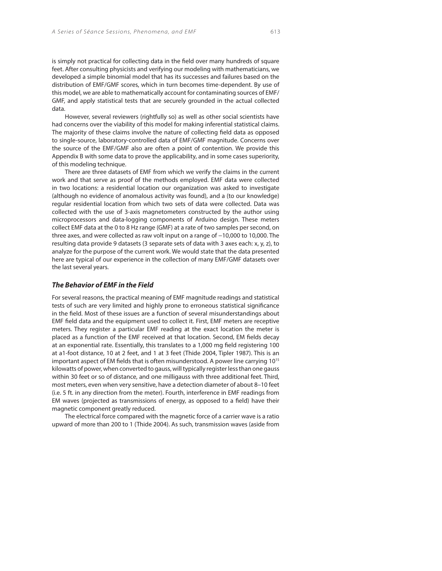is simply not practical for collecting data in the field over many hundreds of square feet. After consulting physicists and verifying our modeling with mathematicians, we developed a simple binomial model that has its successes and failures based on the distribution of EMF/GMF scores, which in turn becomes time-dependent. By use of this model, we are able to mathematically account for contaminating sources of EMF/ GMF, and apply statistical tests that are securely grounded in the actual collected data.

However, several reviewers (rightfully so) as well as other social scientists have had concerns over the viability of this model for making inferential statistical claims. The majority of these claims involve the nature of collecting field data as opposed to single-source, laboratory-controlled data of EMF/GMF magnitude. Concerns over the source of the EMF/GMF also are often a point of contention. We provide this Appendix B with some data to prove the applicability, and in some cases superiority, of this modeling technique.

There are three datasets of EMF from which we verify the claims in the current work and that serve as proof of the methods employed. EMF data were collected in two locations: a residential location our organization was asked to investigate (although no evidence of anomalous activity was found), and a (to our knowledge) regular residential location from which two sets of data were collected. Data was collected with the use of 3-axis magnetometers constructed by the author using microprocessors and data-logging components of Arduino design. These meters collect EMF data at the 0 to 8 Hz range (GMF) at a rate of two samples per second, on three axes, and were collected as raw volt input on a range of −10,000 to 10,000. The resulting data provide 9 datasets (3 separate sets of data with 3 axes each: x, y, z), to analyze for the purpose of the current work. We would state that the data presented here are typical of our experience in the collection of many EMF/GMF datasets over the last several years.

## **The Behavior of EMF in the Field**

For several reasons, the practical meaning of EMF magnitude readings and statistical tests of such are very limited and highly prone to erroneous statistical significance in the field. Most of these issues are a function of several misunderstandings about EMF field data and the equipment used to collect it. First, EMF meters are receptive meters. They register a particular EMF reading at the exact location the meter is placed as a function of the EMF received at that location. Second, EM fields decay at an exponential rate. Essentially, this translates to a 1,000 mg field registering 100 at a1-foot distance, 10 at 2 feet, and 1 at 3 feet (Thide 2004, Tipler 1987). This is an important aspect of EM fields that is often misunderstood. A power line carrying 10<sup>15</sup> kilowatts of power, when converted to gauss, will typically register less than one gauss within 30 feet or so of distance, and one milligauss with three additional feet. Third, most meters, even when very sensitive, have a detection diameter of about 8–10 feet (i.e. 5 ft. in any direction from the meter). Fourth, interference in EMF readings from EM waves (projected as transmissions of energy, as opposed to a field) have their magnetic component greatly reduced.

The electrical force compared with the magnetic force of a carrier wave is a ratio upward of more than 200 to 1 (Thide 2004). As such, transmission waves (aside from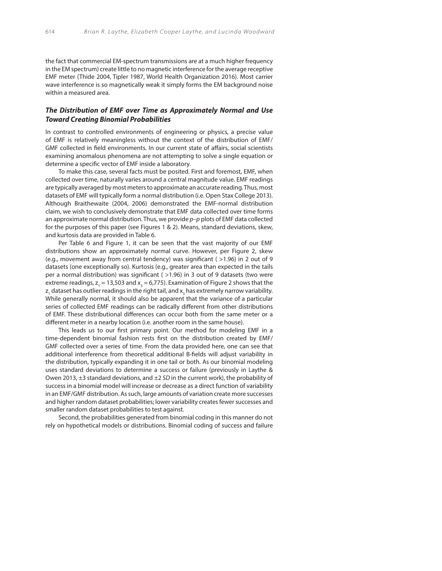the fact that commercial EM-spectrum transmissions are at a much higher frequency in the EM spectrum) create little to no magnetic interference for the average receptive EMF meter (Thide 2004, Tipler 1987, World Health Organization 2016). Most carrier wave interference is so magnetically weak it simply forms the EM background noise within a measured area.

## **The Distribution of EMF over Time as Approximately Normal and Use Toward Creating Binomial Probabilities**

In contrast to controlled environments of engineering or physics, a precise value of EMF is relatively meaningless without the context of the distribution of EMF/ GMF collected in field environments. In our current state of affairs, social scientists examining anomalous phenomena are not attempting to solve a single equation or determine a specific vector of EMF inside a laboratory.

To make this case, several facts must be posited. First and foremost, EMF, when collected over time, naturally varies around a central magnitude value. EMF readings are typically averaged by most meters to approximate an accurate reading. Thus, most datasets of EMF will typically form a normal distribution (i.e. Open Stax College 2013). Although Braithewaite (2004, 2006) demonstrated the EMF-normal distribution claim, we wish to conclusively demonstrate that EMF data collected over time forms an approximate normal distribution. Thus, we provide  $p-p$  plots of EMF data collected for the purposes of this paper (see Figures 1 & 2). Means, standard deviations, skew, and kurtosis data are provided in Table 6.

Per Table 6 and Figure 1, it can be seen that the vast majority of our EMF distributions show an approximately normal curve. However, per Figure 2, skew (e.g., movement away from central tendency) was significant ( $>1.96$ ) in 2 out of 9 datasets (one exceptionally so). Kurtosis (e.g., greater area than expected in the tails per a normal distribution) was significant ( $>1.96$ ) in 3 out of 9 datasets (two were extreme readings,  $z_1 = 13,503$  and  $x_3 = 6,775$ ). Examination of Figure 2 shows that the  $\mathsf z_{_1}$  dataset has outlier readings in the right tail, and  $\mathsf x_{_3}$  has extremely narrow variability. While generally normal, it should also be apparent that the variance of a particular series of collected EMF readings can be radically different from other distributions of EMF. These distributional differences can occur both from the same meter or a different meter in a nearby location (i.e. another room in the same house).

This leads us to our first primary point. Our method for modeling EMF in a time-dependent binomial fashion rests first on the distribution created by EMF/ GMF collected over a series of time. From the data provided here, one can see that additional interference from theoretical additional B-fields will adjust variability in the distribution, typically expanding it in one tail or both. As our binomial modeling uses standard deviations to determine a success or failure (previously in Laythe & Owen 2013,  $\pm 3$  standard deviations, and  $\pm 2$  SD in the current work), the probability of success in a binomial model will increase or decrease as a direct function of variability in an EMF/GMF distribution. As such, large amounts of variation create more successes and higher random dataset probabilities; lower variability creates fewer successes and smaller random dataset probabilities to test against.

Second, the probabilities generated from binomial coding in this manner do not rely on hypothetical models or distributions. Binomial coding of success and failure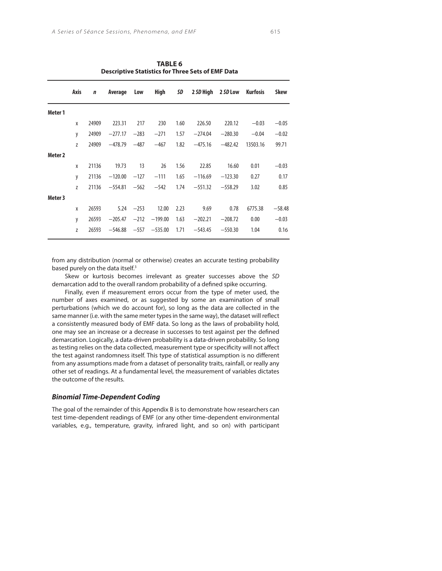|                    | Axis | $\mathbf n$ | Average   | Low    | High      | SD   |           | 2 SD High 2 SD Low | Kurfosis | <b>Skew</b> |
|--------------------|------|-------------|-----------|--------|-----------|------|-----------|--------------------|----------|-------------|
| Meter 1            |      |             |           |        |           |      |           |                    |          |             |
|                    | X    | 24909       | 223.31    | 217    | 230       | 1.60 | 226.50    | 220.12             | $-0.03$  | $-0.05$     |
|                    | y    | 24909       | $-277.17$ | $-283$ | $-271$    | 1.57 | $-274.04$ | $-280.30$          | $-0.04$  | $-0.02$     |
|                    | Z    | 24909       | $-478.79$ | $-487$ | $-467$    | 1.82 | $-475.16$ | $-482.42$          | 13503.16 | 99.71       |
| Meter <sub>2</sub> |      |             |           |        |           |      |           |                    |          |             |
|                    | X    | 21136       | 19.73     | 13     | 26        | 1.56 | 22.85     | 16.60              | 0.01     | $-0.03$     |
|                    | y    | 21136       | $-120.00$ | $-127$ | $-111$    | 1.65 | $-116.69$ | $-123.30$          | 0.27     | 0.17        |
|                    | Z    | 21136       | $-554.81$ | $-562$ | $-542$    | 1.74 | $-551.32$ | $-558.29$          | 3.02     | 0.85        |
| Meter 3            |      |             |           |        |           |      |           |                    |          |             |
|                    | X    | 26593       | 5.24      | $-253$ | 12.00     | 2.23 | 9.69      | 0.78               | 6775.38  | $-58.48$    |
|                    | y    | 26593       | $-205.47$ | $-212$ | $-199.00$ | 1.63 | $-202.21$ | $-208.72$          | 0.00     | $-0.03$     |
|                    | Z    | 26593       | $-546.88$ | $-557$ | $-535.00$ | 1.71 | $-543.45$ | $-550.30$          | 1.04     | 0.16        |

**TABLE 6 Descriptive Statistics for Three Sets of EMF Data**

from any distribution (normal or otherwise) creates an accurate testing probability based purely on the data itself.<sup>3</sup>

Skew or kurtosis becomes irrelevant as greater successes above the SD demarcation add to the overall random probability of a defined spike occurring.

Finally, even if measurement errors occur from the type of meter used, the number of axes examined, or as suggested by some an examination of small perturbations (which we do account for), so long as the data are collected in the same manner (i.e. with the same meter types in the same way), the dataset will reflect a consistently measured body of EMF data. So long as the laws of probability hold, one may see an increase or a decrease in successes to test against per the defined demarcation. Logically, a data-driven probability is a data-driven probability. So long as testing relies on the data collected, measurement type or specificity will not affect the test against randomness itself. This type of statistical assumption is no different from any assumptions made from a dataset of personality traits, rainfall, or really any other set of readings. At a fundamental level, the measurement of variables dictates the outcome of the results.

## **Binomial Time-Dependent Coding**

The goal of the remainder of this Appendix B is to demonstrate how researchers can test time-dependent readings of EMF (or any other time-dependent environmental variables, e.g., temperature, gravity, infrared light, and so on) with participant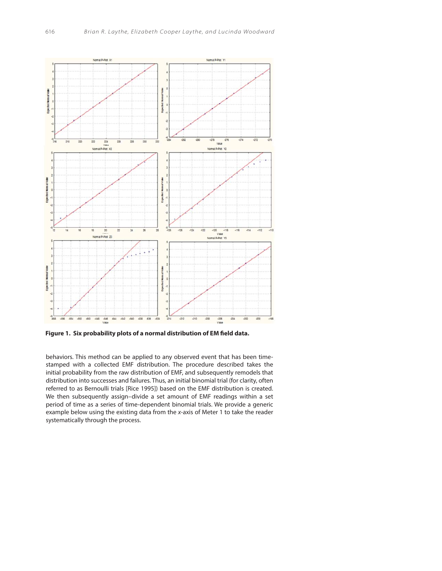

Figure 1. Six probability plots of a normal distribution of EM field data.

behaviors. This method can be applied to any observed event that has been timestamped with a collected EMF distribution. The procedure described takes the initial probability from the raw distribution of EMF, and subsequently remodels that distribution into successes and failures. Thus, an initial binomial trial (for clarity, often referred to as Bernoulli trials [Rice 1995]) based on the EMF distribution is created. We then subsequently assign–divide a set amount of EMF readings within a set period of time as a series of time-dependent binomial trials. We provide a generic example below using the existing data from the x-axis of Meter 1 to take the reader systematically through the process.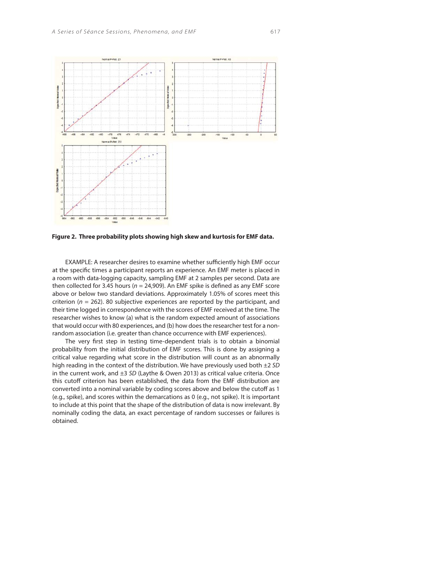

**Figure 2. Three probability plots showing high skew and kurtosis for EMF data.**

EXAMPLE: A researcher desires to examine whether sufficiently high EMF occur at the specific times a participant reports an experience. An EMF meter is placed in a room with data-logging capacity, sampling EMF at 2 samples per second. Data are then collected for 3.45 hours ( $n = 24,909$ ). An EMF spike is defined as any EMF score above or below two standard deviations. Approximately 1.05% of scores meet this criterion ( $n = 262$ ). 80 subjective experiences are reported by the participant, and their time logged in correspondence with the scores of EMF received at the time. The researcher wishes to know (a) what is the random expected amount of associations that would occur with 80 experiences, and (b) how does the researcher test for a nonrandom association (i.e. greater than chance occurrence with EMF experiences).

The very first step in testing time-dependent trials is to obtain a binomial probability from the initial distribution of EMF scores. This is done by assigning a critical value regarding what score in the distribution will count as an abnormally high reading in the context of the distribution. We have previously used both  $\pm 2$  SD in the current work, and  $\pm 3$  SD (Laythe & Owen 2013) as critical value criteria. Once this cutoff criterion has been established, the data from the EMF distribution are converted into a nominal variable by coding scores above and below the cutoff as 1 (e.g., spike), and scores within the demarcations as 0 (e.g., not spike). It is important to include at this point that the shape of the distribution of data is now irrelevant. By nominally coding the data, an exact percentage of random successes or failures is obtained.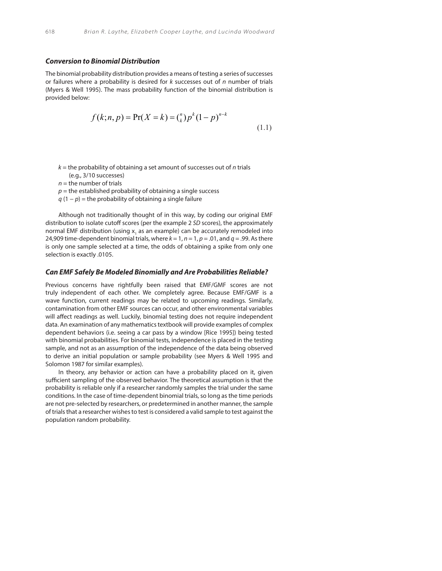#### **Conversion to Binomial Distribution**

The binomial probability distribution provides a means of testing a series of successes or failures where a probability is desired for  $k$  successes out of  $n$  number of trials (Myers & Well 1995). The mass probability function of the binomial distribution is provided below:

$$
f(k;n,p) = \Pr(X = k) = \binom{n}{k} p^k (1-p)^{n-k}
$$
\n(1.1)

- $k =$  the probability of obtaining a set amount of successes out of n trials (e.g., 3/10 successes)
	- $n =$  the number of trials
	- $p =$  the established probability of obtaining a single success
	- $q(1-p)$  = the probability of obtaining a single failure

Although not traditionally thought of in this way, by coding our original EMF distribution to isolate cutoff scores (per the example 2 SD scores), the approximately normal EMF distribution (using x<sub>1</sub> as an example) can be accurately remodeled into 24,909 time-dependent binomial trials, where  $k = 1$ ,  $n = 1$ ,  $p = .01$ , and  $q = .99$ . As there is only one sample selected at a time, the odds of obtaining a spike from only one selection is exactly .0105.

#### **Can EMF Safely Be Modeled Binomially and Are Probabilities Reliable?**

Previous concerns have rightfully been raised that EMF/GMF scores are not truly independent of each other. We completely agree. Because EMF/GMF is a wave function, current readings may be related to upcoming readings. Similarly, contamination from other EMF sources can occur, and other environmental variables will affect readings as well. Luckily, binomial testing does not require independent data. An examination of any mathematics textbook will provide examples of complex dependent behaviors (i.e. seeing a car pass by a window [Rice 1995]) being tested with binomial probabilities. For binomial tests, independence is placed in the testing sample, and not as an assumption of the independence of the data being observed to derive an initial population or sample probability (see Myers & Well 1995 and Solomon 1987 for similar examples).

In theory, any behavior or action can have a probability placed on it, given sufficient sampling of the observed behavior. The theoretical assumption is that the probability is reliable only if a researcher randomly samples the trial under the same conditions. In the case of time-dependent binomial trials, so long as the time periods are not pre-selected by researchers, or predetermined in another manner, the sample of trials that a researcher wishes to test is considered a valid sample to test against the population random probability.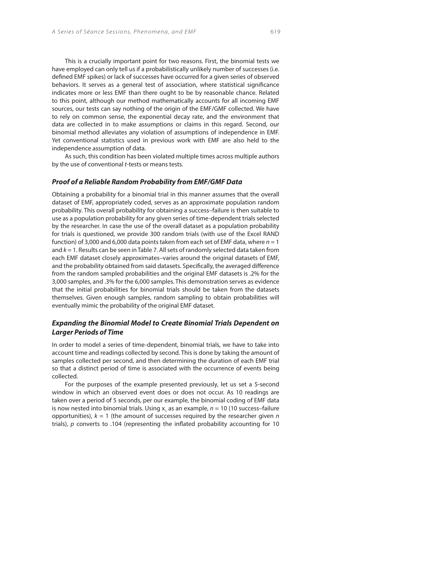This is a crucially important point for two reasons. First, the binomial tests we have employed can only tell us if a probabilistically unlikely number of successes (i.e. defined EMF spikes) or lack of successes have occurred for a given series of observed behaviors. It serves as a general test of association, where statistical significance indicates more or less EMF than there ought to be by reasonable chance. Related to this point, although our method mathematically accounts for all incoming EMF sources, our tests can say nothing of the origin of the EMF/GMF collected. We have to rely on common sense, the exponential decay rate, and the environment that data are collected in to make assumptions or claims in this regard. Second, our binomial method alleviates any violation of assumptions of independence in EMF. Yet conventional statistics used in previous work with EMF are also held to the independence assumption of data.

As such, this condition has been violated multiple times across multiple authors by the use of conventional *t*-tests or means tests.

## **Proof of a Reliable Random Probability from EMF/GMF Data**

Obtaining a probability for a binomial trial in this manner assumes that the overall dataset of EMF, appropriately coded, serves as an approximate population random probability. This overall probability for obtaining a success–failure is then suitable to use as a population probability for any given series of time-dependent trials selected by the researcher. In case the use of the overall dataset as a population probability for trials is questioned, we provide 300 random trials (with use of the Excel RAND function) of 3,000 and 6,000 data points taken from each set of EMF data, where  $n = 1$ and  $k = 1$ . Results can be seen in Table 7. All sets of randomly selected data taken from each EMF dataset closely approximates–varies around the original datasets of EMF, and the probability obtained from said datasets. Specifically, the averaged difference from the random sampled probabilities and the original EMF datasets is .2% for the 3,000 samples, and .3% for the 6,000 samples. This demonstration serves as evidence that the initial probabilities for binomial trials should be taken from the datasets themselves. Given enough samples, random sampling to obtain probabilities will eventually mimic the probability of the original EMF dataset.

# **Expanding the Binomial Model to Create Binomial Trials Dependent on Larger Periods of Time**

In order to model a series of time-dependent, binomial trials, we have to take into account time and readings collected by second. This is done by taking the amount of samples collected per second, and then determining the duration of each EMF trial so that a distinct period of time is associated with the occurrence of events being collected.

For the purposes of the example presented previously, let us set a 5-second window in which an observed event does or does not occur. As 10 readings are taken over a period of 5 seconds, per our example, the binomial coding of EMF data is now nested into binomial trials. Using  $x_{1}$  as an example,  $n = 10$  (10 success–failure opportunities),  $k = 1$  (the amount of successes required by the researcher given n trials),  $p$  converts to .104 (representing the inflated probability accounting for 10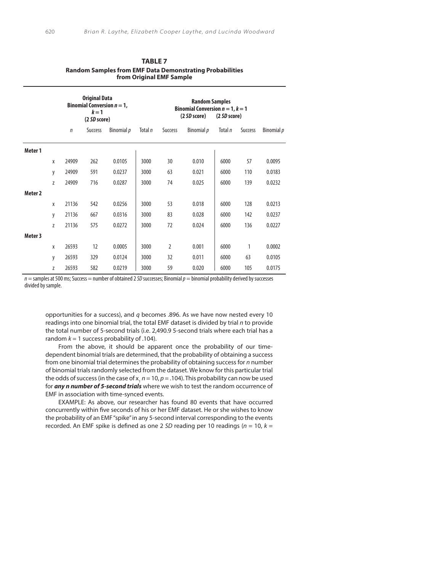|                    |   |        | <b>Original Data</b><br>$k=1$<br>(2 SD score) | Binomial Conversion $n = 1$ , |         |                | <b>Random Samples</b><br>Binomial Conversion $n = 1$ , $k = 1$<br>(2 <i>SD</i> score)<br>(2 SD score) |         |         |            |  |
|--------------------|---|--------|-----------------------------------------------|-------------------------------|---------|----------------|-------------------------------------------------------------------------------------------------------|---------|---------|------------|--|
|                    |   | $\eta$ | <b>Success</b>                                | Binomial p                    | Total n | Success        | Binomial p                                                                                            | Total n | Success | Binomial p |  |
| Meter 1            |   |        |                                               |                               |         |                |                                                                                                       |         |         |            |  |
|                    | X | 24909  | 262                                           | 0.0105                        | 3000    | 30             | 0.010                                                                                                 | 6000    | 57      | 0.0095     |  |
|                    | у | 24909  | 591                                           | 0.0237                        | 3000    | 63             | 0.021                                                                                                 | 6000    | 110     | 0.0183     |  |
|                    | Z | 24909  | 716                                           | 0.0287                        | 3000    | 74             | 0.025                                                                                                 | 6000    | 139     | 0.0232     |  |
| Meter <sub>2</sub> |   |        |                                               |                               |         |                |                                                                                                       |         |         |            |  |
|                    | X | 21136  | 542                                           | 0.0256                        | 3000    | 53             | 0.018                                                                                                 | 6000    | 128     | 0.0213     |  |
|                    | y | 21136  | 667                                           | 0.0316                        | 3000    | 83             | 0.028                                                                                                 | 6000    | 142     | 0.0237     |  |
|                    | Z | 21136  | 575                                           | 0.0272                        | 3000    | 72             | 0.024                                                                                                 | 6000    | 136     | 0.0227     |  |
| Meter 3            |   |        |                                               |                               |         |                |                                                                                                       |         |         |            |  |
|                    | X | 26593  | 12                                            | 0.0005                        | 3000    | $\overline{2}$ | 0.001                                                                                                 | 6000    | 1       | 0.0002     |  |
|                    | у | 26593  | 329                                           | 0.0124                        | 3000    | 32             | 0.011                                                                                                 | 6000    | 63      | 0.0105     |  |
|                    | Z | 26593  | 582                                           | 0.0219                        | 3000    | 59             | 0.020                                                                                                 | 6000    | 105     | 0.0175     |  |

 **TABLE 7 Random Samples from EMF Data Demonstrating Probabilities from Original EMF Sample**

*n* = samples at 500 ms; Success = number of obtained 2 *SD* successes; Binomial *p* = binomial probability derived by successes divided by sample.

opportunities for a success), and  $q$  becomes .896. As we have now nested every 10 readings into one binomial trial, the total EMF dataset is divided by trial n to provide the total number of 5-second trials (i.e. 2,490.9 5-second trials where each trial has a random  $k = 1$  success probability of .104).

From the above, it should be apparent once the probability of our timedependent binomial trials are determined, that the probability of obtaining a success from one binomial trial determines the probability of obtaining success for n number of binomial trials randomly selected from the dataset. We know for this particular trial the odds of success (in the case of x,  $n = 10$ ,  $p = .104$ ). This probability can now be used for **any n number of 5-second trials** where we wish to test the random occurrence of EMF in association with time-synced events.

EXAMPLE: As above, our researcher has found 80 events that have occurred concurrently within five seconds of his or her EMF dataset. He or she wishes to know the probability of an EMF "spike" in any 5-second interval corresponding to the events recorded. An EMF spike is defined as one 2 SD reading per 10 readings ( $n = 10$ ,  $k =$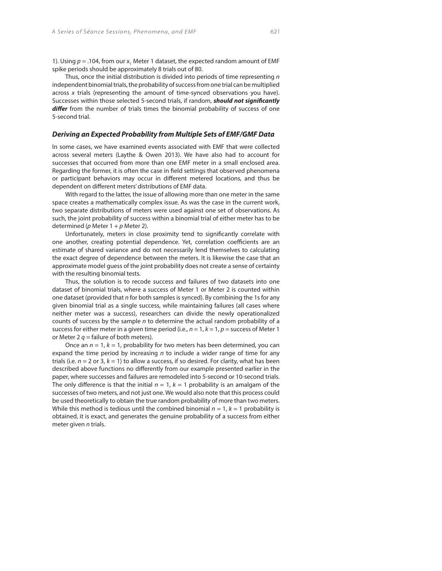1). Using  $p = .104$ , from our  $x_1$  Meter 1 dataset, the expected random amount of EMF spike periods should be approximately 8 trials out of 80.

Thus, once the initial distribution is divided into periods of time representing  $n$ independent binomial trials, the probability of success from one trial can be multiplied across x trials (representing the amount of time-synced observations you have). Successes within those selected 5-second trials, if random, **should not significantly** differ from the number of trials times the binomial probability of success of one 5-second trial.

#### **Deriving an Expected Probability from Multiple Sets of EMF/GMF Data**

In some cases, we have examined events associated with EMF that were collected across several meters (Laythe & Owen 2013). We have also had to account for successes that occurred from more than one EMF meter in a small enclosed area. Regarding the former, it is often the case in field settings that observed phenomena or participant behaviors may occur in different metered locations, and thus be dependent on different meters' distributions of EMF data.

With regard to the latter, the issue of allowing more than one meter in the same space creates a mathematically complex issue. As was the case in the current work, two separate distributions of meters were used against one set of observations. As such, the joint probability of success within a binomial trial of either meter has to be determined ( $p$  Meter 1 +  $p$  Meter 2).

Unfortunately, meters in close proximity tend to significantly correlate with one another, creating potential dependence. Yet, correlation coefficients are an estimate of shared variance and do not necessarily lend themselves to calculating the exact degree of dependence between the meters. It is likewise the case that an approximate model guess of the joint probability does not create a sense of certainty with the resulting binomial tests.

Thus, the solution is to recode success and failures of two datasets into one dataset of binomial trials, where a success of Meter 1 or Meter 2 is counted within one dataset (provided that  $n$  for both samples is synced). By combining the 1s for any given binomial trial as a single success, while maintaining failures (all cases where neither meter was a success), researchers can divide the newly operationalized counts of success by the sample  $n$  to determine the actual random probability of a success for either meter in a given time period (i.e.,  $n = 1$ ,  $k = 1$ ,  $p =$  success of Meter 1 or Meter 2  $q$  = failure of both meters).

Once an  $n = 1$ ,  $k = 1$ , probability for two meters has been determined, you can expand the time period by increasing  $n$  to include a wider range of time for any trials (i.e.  $n = 2$  or 3,  $k = 1$ ) to allow a success, if so desired. For clarity, what has been described above functions no differently from our example presented earlier in the paper, where successes and failures are remodeled into 5-second or 10-second trials. The only difference is that the initial  $n = 1$ ,  $k = 1$  probability is an amalgam of the successes of two meters, and not just one. We would also note that this process could be used theoretically to obtain the true random probability of more than two meters. While this method is tedious until the combined binomial  $n = 1$ ,  $k = 1$  probability is obtained, it is exact, and generates the genuine probability of a success from either meter given n trials.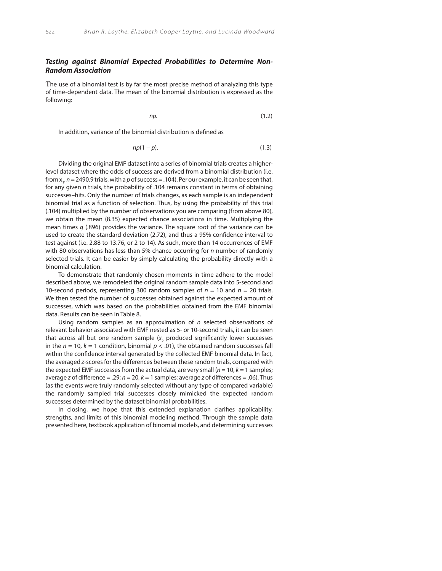## **Testing against Binomial Expected Probabilities to Determine Non-Random Association**

The use of a binomial test is by far the most precise method of analyzing this type of time-dependent data. The mean of the binomial distribution is expressed as the following:

$$
np. \tag{1.2}
$$

In addition, variance of the binomial distribution is defined as

$$
np(1-p). \tag{1.3}
$$

Dividing the original EMF dataset into a series of binomial trials creates a higherlevel dataset where the odds of success are derived from a binomial distribution (i.e. from  $x_{1}$ ,  $n = 2490.9$  trials, with a  $p$  of success = .104). Per our example, it can be seen that, for any given n trials, the probability of .104 remains constant in terms of obtaining successes–hits. Only the number of trials changes, as each sample is an independent binomial trial as a function of selection. Thus, by using the probability of this trial (.104) multiplied by the number of observations you are comparing (from above 80), we obtain the mean (8.35) expected chance associations in time. Multiplying the mean times  $q$  (.896) provides the variance. The square root of the variance can be used to create the standard deviation (2.72), and thus a 95% confidence interval to test against (i.e. 2.88 to 13.76, or 2 to 14). As such, more than 14 occurrences of EMF with 80 observations has less than 5% chance occurring for *n* number of randomly selected trials. It can be easier by simply calculating the probability directly with a binomial calculation.

To demonstrate that randomly chosen moments in time adhere to the model described above, we remodeled the original random sample data into 5-second and 10-second periods, representing 300 random samples of  $n = 10$  and  $n = 20$  trials. We then tested the number of successes obtained against the expected amount of successes, which was based on the probabilities obtained from the EMF binomial data. Results can be seen in Table 8.

Using random samples as an approximation of  $n$  selected observations of relevant behavior associated with EMF nested as 5- or 10-second trials, it can be seen that across all but one random sample ( $x_2$  produced significantly lower successes in the  $n = 10$ ,  $k = 1$  condition, binomial  $p < .01$ ), the obtained random successes fall within the confidence interval generated by the collected EMF binomial data. In fact, the averaged z-scores for the differences between these random trials, compared with the expected EMF successes from the actual data, are very small  $(n = 10, k = 1$  samples; average z of difference = .29;  $n = 20$ ,  $k = 1$  samples; average z of differences = .06). Thus (as the events were truly randomly selected without any type of compared variable) the randomly sampled trial successes closely mimicked the expected random successes determined by the dataset binomial probabilities.

In closing, we hope that this extended explanation clarifies applicability, strengths, and limits of this binomial modeling method. Through the sample data presented here, textbook application of binomial models, and determining successes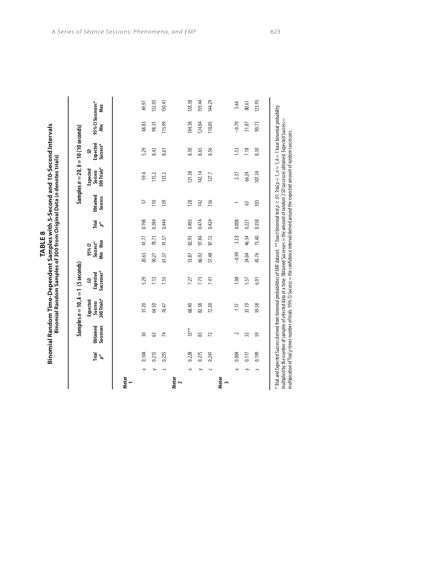| ABLE 8 | mples with 5-Second and 10-Second Intervals<br>it Sar<br><b>SACRA</b><br>$\frac{1}{2}$<br>n Time-<br>munded is | ac trialc)<br>hininal Data (n d<br> <br> <br> <br> <br>n Samples of 300 from Or |
|--------|----------------------------------------------------------------------------------------------------------------|---------------------------------------------------------------------------------|
|--------|----------------------------------------------------------------------------------------------------------------|---------------------------------------------------------------------------------|

| $\!\times\!$<br>➤<br>Meter<br>1 | 0.215<br>0.104<br>leiul<br>D* | Successes<br><b>Obtained</b> | <b>Expected</b>        | Samples $n = 10$ , $k = 1$ (5 seconds) |                               |       |                     |                            |                                                                                |                                  |                          |        |
|---------------------------------|-------------------------------|------------------------------|------------------------|----------------------------------------|-------------------------------|-------|---------------------|----------------------------|--------------------------------------------------------------------------------|----------------------------------|--------------------------|--------|
|                                 |                               |                              | 300 Trials*<br>Success | Successes*<br><b>Expected</b><br>S     | 95% Cl<br>Success*<br>Min Max |       | Trial<br><i>p</i> * | <b>Obtained</b><br>Success | Samples $n = 20$ , $k = 10$ (10 seconds)<br>Expected<br>Success<br>300 Trials* | <b>Expected</b><br>Success*<br>ຊ | 95% CI Successes*<br>Min | Max    |
|                                 |                               |                              |                        |                                        |                               |       |                     |                            |                                                                                |                                  |                          |        |
|                                 |                               | 50                           | 31.20                  | 5.29                                   | 20.63                         | 41.77 | 0.198               | 57                         | 59.4                                                                           | 5.29                             | 48.83                    | 69.97  |
|                                 |                               | ය                            | 64.50                  | 7.12                                   | 50.27                         | 78.73 | 0.384               | $\frac{10}{10}$            | 115.2                                                                          | 8.42                             | 98.35                    | 132.05 |
| $\overline{\phantom{0}}$        | 0.255                         | 74                           | 76.47                  | 7.55                                   | 61.37                         | 91.57 | 0.444               | 139                        | 133.2                                                                          | 8.61                             | 115.99                   | 150.41 |
| Meter<br>2                      |                               |                              |                        |                                        |                               |       |                     |                            |                                                                                |                                  |                          |        |
| $\mathord{\Join}$               | 0.228                         | 53**                         | 68.40                  | 7.27                                   | 53.87                         | 82.93 | 0.405               | 128                        | 121.38                                                                         | 8.50                             | 104.38                   | 138.38 |
|                                 | 0.275                         | 83                           | 82.38                  | 7.73                                   | 66.92                         | 97.84 | 0.474               | 142                        | 142.14                                                                         | 8.65                             | 124.84                   | 159.44 |
| $\overline{\phantom{0}}$        | 0.241                         | $\mathcal{L}$                | 72.30                  | 7.41                                   | 57.48                         | 87.12 | 0.424               | 136                        | 127.7                                                                          | 8.56                             | 110.05                   | 144.29 |
| Meter<br>3                      |                               |                              |                        |                                        |                               |       |                     |                            |                                                                                |                                  |                          |        |
| $\mathbb{\times}$               | 0.004                         | 2                            | 1.17                   | 1.08                                   | $-0.99$                       | 3.33  | 0.008               |                            | 2.37                                                                           | 1.53                             | $-0.70$                  | 5.44   |
|                                 | 0.117                         | 32                           | 35.19                  | 5.57                                   | 24.04                         | 46.34 | 0.221               | S                          | 66.24                                                                          | 7.18                             | 51.87                    | 80.61  |
| $\overline{\phantom{0}}$        | 0.199                         | 59                           | 59.58                  | 6.91                                   | 45.76                         | 73.40 | 0.358               | 105                        | 107.34                                                                         | 8.30                             | 90.73                    | 123.95 |

 $^*$ Tiral and Expected Sucess derived from binomial probabilities of EMF dataset.  $^{**}$  Exact binomial test $\rho < 0$ 1. Tiral  $\rho = 1$ ,  $n = 1$ ,  $k = 1$  base binomial probability<br>multiplied by the number of samples of selected \* Trial and Expected Success derived from binomial probabilities of EMF dataset. \*\* Exact binomial test *p* < .01. Trial *p* = 1, *n* = 1, *k* = 1 base binomial probability multiplied by the number of samples of selected data at a time. Obtained Successes = the amount of random 2 *SD* successes obtained. Expected Success = multipication of Trial *p* times number of trials. 95% CI Success = the confidence interval derived around the expected amount of random successses.